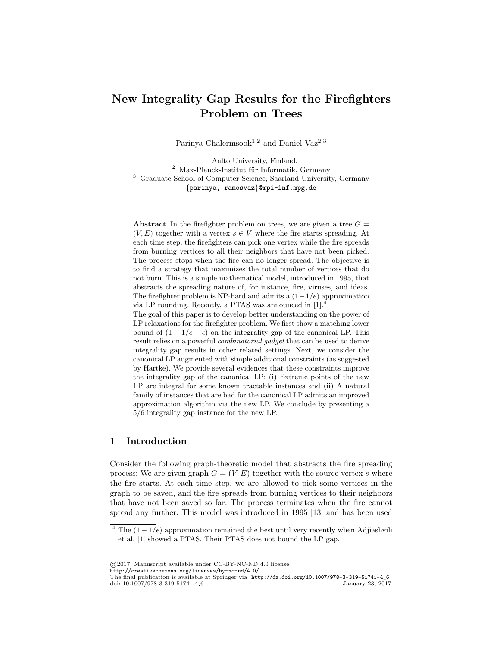# New Integrality Gap Results for the Firefighters Problem on Trees

Parinya Chalermsook<sup>1,2</sup> and Daniel Vaz<sup>2,3</sup>

<sup>1</sup> Aalto University, Finland.  $2$  Max-Planck-Institut für Informatik, Germany <sup>3</sup> Graduate School of Computer Science, Saarland University, Germany {parinya, ramosvaz}@mpi-inf.mpg.de

Abstract In the firefighter problem on trees, we are given a tree  $G =$  $(V, E)$  together with a vertex  $s \in V$  where the fire starts spreading. At each time step, the firefighters can pick one vertex while the fire spreads from burning vertices to all their neighbors that have not been picked. The process stops when the fire can no longer spread. The objective is to find a strategy that maximizes the total number of vertices that do not burn. This is a simple mathematical model, introduced in 1995, that abstracts the spreading nature of, for instance, fire, viruses, and ideas. The firefighter problem is NP-hard and admits a  $(1-1/e)$  approximation via LP rounding. Recently, a PTAS was announced in [1].<sup>4</sup>

The goal of this paper is to develop better understanding on the power of LP relaxations for the firefighter problem. We first show a matching lower bound of  $(1 - 1/e + \epsilon)$  on the integrality gap of the canonical LP. This result relies on a powerful combinatorial gadget that can be used to derive integrality gap results in other related settings. Next, we consider the canonical LP augmented with simple additional constraints (as suggested by Hartke). We provide several evidences that these constraints improve the integrality gap of the canonical LP: (i) Extreme points of the new LP are integral for some known tractable instances and (ii) A natural family of instances that are bad for the canonical LP admits an improved approximation algorithm via the new LP. We conclude by presenting a 5/6 integrality gap instance for the new LP.

# 1 Introduction

Consider the following graph-theoretic model that abstracts the fire spreading process: We are given graph  $G = (V, E)$  together with the source vertex s where the fire starts. At each time step, we are allowed to pick some vertices in the graph to be saved, and the fire spreads from burning vertices to their neighbors that have not been saved so far. The process terminates when the fire cannot spread any further. This model was introduced in 1995 [13] and has been used

©2017. Manuscript available under CC-BY-NC-ND 4.0 license

http://creativecommons.org/licenses/by-nc-nd/4.0/

<sup>&</sup>lt;sup>4</sup> The  $(1-1/e)$  approximation remained the best until very recently when Adjiashvili et al. [1] showed a PTAS. Their PTAS does not bound the LP gap.

The final publication is available at Springer via http://dx.doi.org/10.1007/978-3-319-51741-4\_6 doi: 10.1007/978-3-319-51741-4<sub>-6</sub>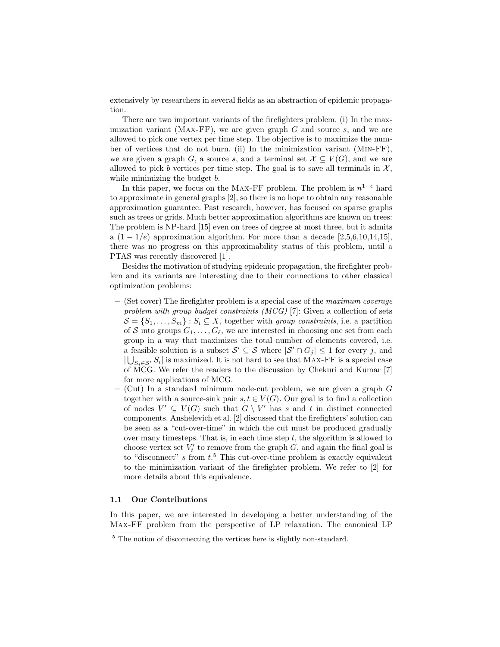extensively by researchers in several fields as an abstraction of epidemic propagation.

There are two important variants of the firefighters problem. (i) In the maximization variant (MAX-FF), we are given graph  $G$  and source  $s$ , and we are allowed to pick one vertex per time step. The objective is to maximize the number of vertices that do not burn. (ii) In the minimization variant (Min-FF), we are given a graph G, a source s, and a terminal set  $\mathcal{X} \subseteq V(G)$ , and we are allowed to pick b vertices per time step. The goal is to save all terminals in  $\mathcal{X}$ . while minimizing the budget b.

In this paper, we focus on the MAX-FF problem. The problem is  $n^{1-\epsilon}$  hard to approximate in general graphs [2], so there is no hope to obtain any reasonable approximation guarantee. Past research, however, has focused on sparse graphs such as trees or grids. Much better approximation algorithms are known on trees: The problem is NP-hard [15] even on trees of degree at most three, but it admits a  $(1 - 1/e)$  approximation algorithm. For more than a decade [2,5,6,10,14,15], there was no progress on this approximability status of this problem, until a PTAS was recently discovered [1].

Besides the motivation of studying epidemic propagation, the firefighter problem and its variants are interesting due to their connections to other classical optimization problems:

- (Set cover) The firefighter problem is a special case of the maximum coverage problem with group budget constraints (MCG) [7]: Given a collection of sets  $S = \{S_1, \ldots, S_m\} : S_i \subseteq X$ , together with group constraints, i.e. a partition of S into groups  $G_1, \ldots, G_\ell$ , we are interested in choosing one set from each group in a way that maximizes the total number of elements covered, i.e. a feasible solution is a subset  $S' \subseteq S$  where  $|S' \cap G_j| \leq 1$  for every j, and  $| \bigcup_{S_i \in \mathcal{S}'} S_i |$  is maximized. It is not hard to see that MAX-FF is a special case of MCG. We refer the readers to the discussion by Chekuri and Kumar [7] for more applications of MCG.
- (Cut) In a standard minimum node-cut problem, we are given a graph  $G$ together with a source-sink pair  $s, t \in V(G)$ . Our goal is to find a collection of nodes  $V' \subseteq V(G)$  such that  $G \setminus V'$  has s and t in distinct connected components. Anshelevich et al. [2] discussed that the firefighters' solution can be seen as a "cut-over-time" in which the cut must be produced gradually over many timesteps. That is, in each time step  $t$ , the algorithm is allowed to choose vertex set  $V'_t$  to remove from the graph  $G$ , and again the final goal is to "disconnect" s from  $t$ <sup>5</sup>. This cut-over-time problem is exactly equivalent to the minimization variant of the firefighter problem. We refer to [2] for more details about this equivalence.

#### 1.1 Our Contributions

In this paper, we are interested in developing a better understanding of the Max-FF problem from the perspective of LP relaxation. The canonical LP

<sup>&</sup>lt;sup>5</sup> The notion of disconnecting the vertices here is slightly non-standard.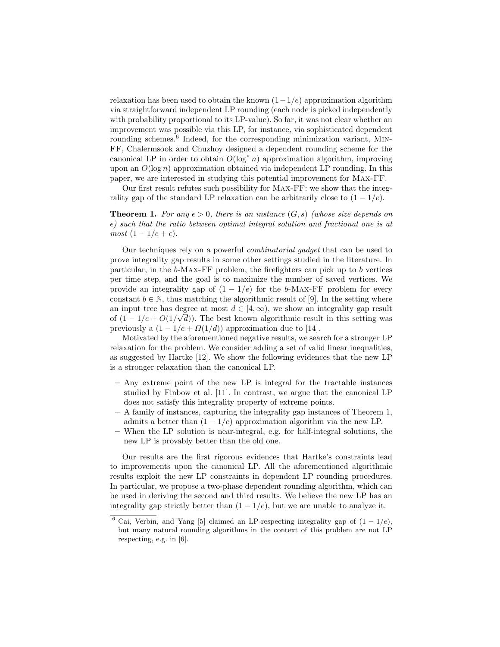relaxation has been used to obtain the known  $(1-1/e)$  approximation algorithm via straightforward independent LP rounding (each node is picked independently with probability proportional to its LP-value). So far, it was not clear whether an improvement was possible via this LP, for instance, via sophisticated dependent rounding schemes.<sup>6</sup> Indeed, for the corresponding minimization variant, MIN-FF, Chalermsook and Chuzhoy designed a dependent rounding scheme for the canonical LP in order to obtain  $O(\log^* n)$  approximation algorithm, improving upon an  $O(\log n)$  approximation obtained via independent LP rounding. In this paper, we are interested in studying this potential improvement for Max-FF.

Our first result refutes such possibility for Max-FF: we show that the integrality gap of the standard LP relaxation can be arbitrarily close to  $(1 - 1/e)$ .

**Theorem 1.** For any  $\epsilon > 0$ , there is an instance  $(G, s)$  (whose size depends on  $\epsilon$ ) such that the ratio between optimal integral solution and fractional one is at most  $(1 - 1/e + \epsilon)$ .

Our techniques rely on a powerful combinatorial gadget that can be used to prove integrality gap results in some other settings studied in the literature. In particular, in the b-Max-FF problem, the firefighters can pick up to b vertices per time step, and the goal is to maximize the number of saved vertices. We provide an integrality gap of  $(1 - 1/e)$  for the b-MAX-FF problem for every constant  $b \in \mathbb{N}$ , thus matching the algorithmic result of [9]. In the setting where an input tree has degree at most  $d \in [4, \infty)$ , we show an integrality gap result of  $(1 - 1/e + O(1/\sqrt{d}))$ . The best known algorithmic result in this setting was previously a  $(1 - 1/e + \Omega(1/d))$  approximation due to [14].

Motivated by the aforementioned negative results, we search for a stronger LP relaxation for the problem. We consider adding a set of valid linear inequalities, as suggested by Hartke [12]. We show the following evidences that the new LP is a stronger relaxation than the canonical LP.

- Any extreme point of the new LP is integral for the tractable instances studied by Finbow et al. [11]. In contrast, we argue that the canonical LP does not satisfy this integrality property of extreme points.
- A family of instances, capturing the integrality gap instances of Theorem 1, admits a better than  $(1 - 1/e)$  approximation algorithm via the new LP.
- When the LP solution is near-integral, e.g. for half-integral solutions, the new LP is provably better than the old one.

Our results are the first rigorous evidences that Hartke's constraints lead to improvements upon the canonical LP. All the aforementioned algorithmic results exploit the new LP constraints in dependent LP rounding procedures. In particular, we propose a two-phase dependent rounding algorithm, which can be used in deriving the second and third results. We believe the new LP has an integrality gap strictly better than  $(1 - 1/e)$ , but we are unable to analyze it.

<sup>&</sup>lt;sup>6</sup> Cai, Verbin, and Yang [5] claimed an LP-respecting integrality gap of  $(1 - 1/e)$ , but many natural rounding algorithms in the context of this problem are not LP respecting, e.g. in [6].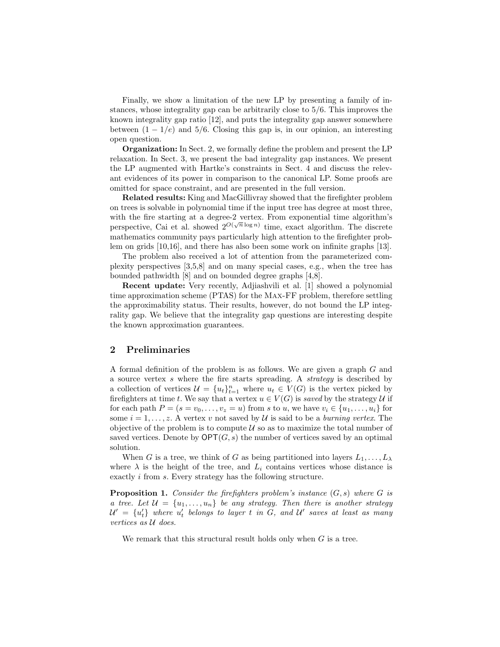Finally, we show a limitation of the new LP by presenting a family of instances, whose integrality gap can be arbitrarily close to 5/6. This improves the known integrality gap ratio [12], and puts the integrality gap answer somewhere between  $(1 - 1/e)$  and 5/6. Closing this gap is, in our opinion, an interesting open question.

Organization: In Sect. 2, we formally define the problem and present the LP relaxation. In Sect. 3, we present the bad integrality gap instances. We present the LP augmented with Hartke's constraints in Sect. 4 and discuss the relevant evidences of its power in comparison to the canonical LP. Some proofs are omitted for space constraint, and are presented in the full version.

Related results: King and MacGillivray showed that the firefighter problem on trees is solvable in polynomial time if the input tree has degree at most three, with the fire starting at a degree-2 vertex. From exponential time algorithm's perspective, Cai et al. showed  $2^{O(\sqrt{n}\log n)}$  time, exact algorithm. The discrete mathematics community pays particularly high attention to the firefighter problem on grids [10,16], and there has also been some work on infinite graphs [13].

The problem also received a lot of attention from the parameterized complexity perspectives [3,5,8] and on many special cases, e.g., when the tree has bounded pathwidth [8] and on bounded degree graphs [4,8].

Recent update: Very recently, Adjiashvili et al. [1] showed a polynomial time approximation scheme (PTAS) for the Max-FF problem, therefore settling the approximability status. Their results, however, do not bound the LP integrality gap. We believe that the integrality gap questions are interesting despite the known approximation guarantees.

## 2 Preliminaries

A formal definition of the problem is as follows. We are given a graph G and a source vertex s where the fire starts spreading. A strategy is described by a collection of vertices  $\mathcal{U} = \{u_t\}_{t=1}^n$  where  $u_t \in V(G)$  is the vertex picked by firefighters at time t. We say that a vertex  $u \in V(G)$  is saved by the strategy U if for each path  $P = (s = v_0, \ldots, v_z = u)$  from s to u, we have  $v_i \in \{u_1, \ldots, u_i\}$  for some  $i = 1, \ldots, z$ . A vertex v not saved by U is said to be a burning vertex. The objective of the problem is to compute  $\mathcal U$  so as to maximize the total number of saved vertices. Denote by  $\mathsf{OPT}(G, s)$  the number of vertices saved by an optimal solution.

When G is a tree, we think of G as being partitioned into layers  $L_1, \ldots, L_\lambda$ where  $\lambda$  is the height of the tree, and  $L_i$  contains vertices whose distance is exactly *i* from *s*. Every strategy has the following structure.

**Proposition 1.** Consider the firefighters problem's instance  $(G, s)$  where G is a tree. Let  $\mathcal{U} = \{u_1, \ldots, u_n\}$  be any strategy. Then there is another strategy  $\mathcal{U}' = \{u'_t\}$  where  $u'_t$  belongs to layer t in G, and  $\mathcal{U}'$  saves at least as many vertices as U does.

We remark that this structural result holds only when  $G$  is a tree.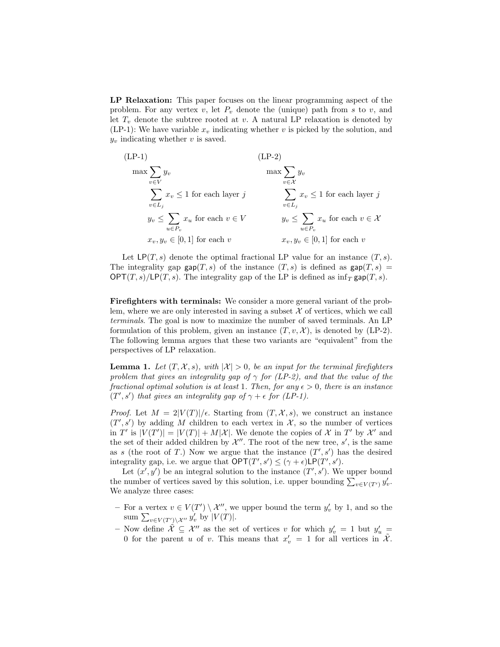LP Relaxation: This paper focuses on the linear programming aspect of the problem. For any vertex  $v$ , let  $P_v$  denote the (unique) path from s to  $v$ , and let  $T_v$  denote the subtree rooted at v. A natural LP relaxation is denoted by (LP-1): We have variable  $x_v$  indicating whether v is picked by the solution, and  $y_v$  indicating whether v is saved.

$$
(LP-1)
$$
\n
$$
\max \sum_{v \in V} y_v
$$
\n
$$
\sum_{v \in L_j} x_v \le 1 \text{ for each layer } j
$$
\n
$$
y_v \le \sum_{u \in P_v} x_u \text{ for each } v \in V
$$
\n
$$
x_v, y_v \in [0,1] \text{ for each } v
$$
\n
$$
x_v, y_v \in [0,1] \text{ for each } v
$$
\n
$$
x_v, y_v \in [0,1] \text{ for each } v
$$
\n
$$
x_v, y_v \in [0,1] \text{ for each } v
$$

Let  $\mathsf{LP}(T, s)$  denote the optimal fractional LP value for an instance  $(T, s)$ . The integrality gap gap(T, s) of the instance  $(T, s)$  is defined as gap(T, s) =  $\mathsf{OPT}(T, s)/\mathsf{LP}(T, s)$ . The integrality gap of the LP is defined as  $\inf_T \mathsf{gap}(T, s)$ .

Firefighters with terminals: We consider a more general variant of the problem, where we are only interested in saving a subset  $\mathcal X$  of vertices, which we call terminals. The goal is now to maximize the number of saved terminals. An LP formulation of this problem, given an instance  $(T, v, \mathcal{X})$ , is denoted by (LP-2). The following lemma argues that these two variants are "equivalent" from the perspectives of LP relaxation.

**Lemma 1.** Let  $(T, \mathcal{X}, s)$ , with  $|\mathcal{X}| > 0$ , be an input for the terminal firefighters problem that gives an integrality gap of  $\gamma$  for (LP-2), and that the value of the fractional optimal solution is at least 1. Then, for any  $\epsilon > 0$ , there is an instance  $(T', s')$  that gives an integrality gap of  $\gamma + \epsilon$  for (LP-1).

*Proof.* Let  $M = 2|V(T)|/\epsilon$ . Starting from  $(T, \mathcal{X}, s)$ , we construct an instance  $(T', s')$  by adding M children to each vertex in X, so the number of vertices in T' is  $|V(T')| = |V(T)| + M|\mathcal{X}|$ . We denote the copies of X in T' by X' and the set of their added children by  $\mathcal{X}''$ . The root of the new tree,  $s'$ , is the same as s (the root of T.) Now we argue that the instance  $(T', s')$  has the desired integrality gap, i.e. we argue that  $\mathsf{OPT}(T', s') \leq (\gamma + \epsilon) \mathsf{LP}(T', s').$ 

Let  $(x', y')$  be an integral solution to the instance  $(T', s')$ . We upper bound the number of vertices saved by this solution, i.e. upper bounding  $\sum_{v \in V(T')} y'_v$ . We analyze three cases:

- − For a vertex  $v \in V(T') \setminus \mathcal{X}''$ , we upper bound the term  $y'_{v}$  by 1, and so the sum  $\sum_{v \in V(T') \setminus \mathcal{X}''} y_v'$  by  $|V(T)|$ .
- Now define  $\mathcal{X} \subseteq \mathcal{X}''$  as the set of vertices v for which  $y'_v = 1$  but  $y'_u =$ 0 for the parent u of v. This means that  $x'_v = 1$  for all vertices in  $\tilde{\mathcal{X}}$ .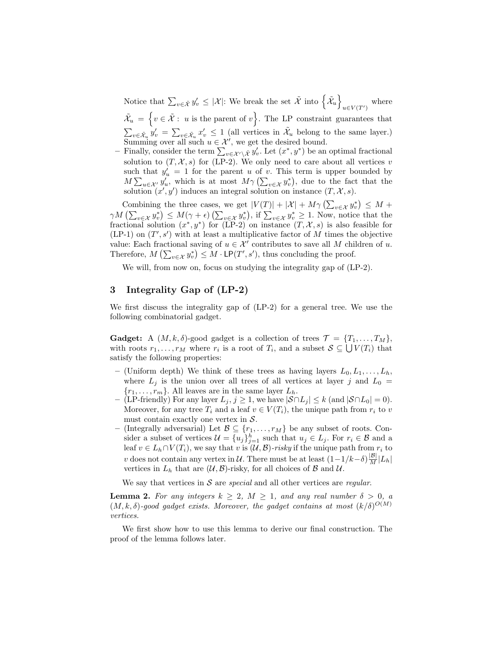Notice that  $\sum_{v \in \tilde{\mathcal{X}}} y'_{v} \leq |\mathcal{X}|$ : We break the set  $\tilde{\mathcal{X}}$  into  $\left\{ \tilde{\mathcal{X}}_{u} \right\}$ where where  $\tilde{\mathcal{X}}_u = \{v \in \tilde{\mathcal{X}} : u \text{ is the parent of } v\}.$  The LP constraint guarantees that

 $\sum_{v \in \tilde{\mathcal{X}}_u} y'_{v} = \sum_{v \in \tilde{\mathcal{X}}_u} x'_{v} \leq 1$  (all vertices in  $\tilde{\mathcal{X}}_u$  belong to the same layer.) Summing over all such  $u \in \mathcal{X}'$ , we get the desired bound.

− Finally, consider the term  $\sum_{v \in \mathcal{X}' \setminus \tilde{\mathcal{X}}} y'_{v}$ . Let  $(x^*, y^*)$  be an optimal fractional solution to  $(T, \mathcal{X}, s)$  for (LP-2). We only need to care about all vertices v such that  $y'_u = 1$  for the parent u of v. This term is upper bounded by  $M \sum_{u \in \mathcal{X}'} y'_u$ , which is at most  $M \gamma \left( \sum_{v \in \mathcal{X}} y_v^* \right)$ , due to the fact that the solution  $(x', y')$  induces an integral solution on instance  $(T, \mathcal{X}, s)$ .

Combining the three cases, we get  $|V(T)| + |\mathcal{X}| + M\gamma \left(\sum_{v \in \mathcal{X}} y_v^*\right) \leq M +$  $\gamma M\left(\sum_{v\in\mathcal{X}}y_v^*\right)\leq M(\gamma+\epsilon)\left(\sum_{v\in\mathcal{X}}y_v^*\right)$ , if  $\sum_{v\in\mathcal{X}}y_v^*\geq 1$ . Now, notice that the fractional solution  $(x^*, y^*)$  for  $(\overline{LP}\text{-}2)$  on instance  $(T, \mathcal{X}, s)$  is also feasible for (LP-1) on  $(T', s')$  with at least a multiplicative factor of M times the objective value: Each fractional saving of  $u \in \mathcal{X}'$  contributes to save all M children of u. Therefore,  $M\left(\sum_{v\in\mathcal{X}}y_v^*\right)\leq M\cdot\mathsf{LP}(T',s'),$  thus concluding the proof.

We will, from now on, focus on studying the integrality gap of (LP-2).

# 3 Integrality Gap of (LP-2)

We first discuss the integrality gap of (LP-2) for a general tree. We use the following combinatorial gadget.

**Gadget:** A  $(M, k, \delta)$ -good gadget is a collection of trees  $\mathcal{T} = \{T_1, \ldots, T_M\},\$ with roots  $r_1, \ldots, r_M$  where  $r_i$  is a root of  $T_i$ , and a subset  $S \subseteq \bigcup V(T_i)$  that satisfy the following properties:

- (Uniform depth) We think of these trees as having layers  $L_0, L_1, \ldots, L_h$ , where  $L_j$  is the union over all trees of all vertices at layer j and  $L_0 =$  $\{r_1, \ldots, r_m\}$ . All leaves are in the same layer  $L_h$ .
- (LP-friendly) For any layer  $L_j$ ,  $j \geq 1$ , we have  $|\mathcal{S} \cap L_j| \leq k$  (and  $|\mathcal{S} \cap L_0| = 0$ ). Moreover, for any tree  $T_i$  and a leaf  $v \in V(T_i)$ , the unique path from  $r_i$  to v must contain exactly one vertex in  $S$ .
- (Integrally adversarial) Let  $\mathcal{B} \subseteq \{r_1, \ldots, r_M\}$  be any subset of roots. Consider a subset of vertices  $\mathcal{U} = \{u_j\}_{j=1}^h$  such that  $u_j \in L_j$ . For  $r_i \in \mathcal{B}$  and a leaf  $v \in L_h \cap V(T_i)$ , we say that v is  $(\mathcal{U}, \mathcal{B})$ -risky if the unique path from  $r_i$  to v does not contain any vertex in  $\mathcal{U}$ . There must be at least  $(1-1/k-\delta)\frac{|\mathcal{B}|}{M}|L_h|$ vertices in  $L_h$  that are  $(\mathcal{U}, \mathcal{B})$ -risky, for all choices of  $\mathcal B$  and  $\mathcal U$ .

We say that vertices in  $S$  are *special* and all other vertices are *regular*.

**Lemma 2.** For any integers  $k \geq 2$ ,  $M \geq 1$ , and any real number  $\delta > 0$ , a  $(M, k, \delta)$ -good gadget exists. Moreover, the gadget contains at most  $(k/\delta)^{O(M)}$ vertices.

We first show how to use this lemma to derive our final construction. The proof of the lemma follows later.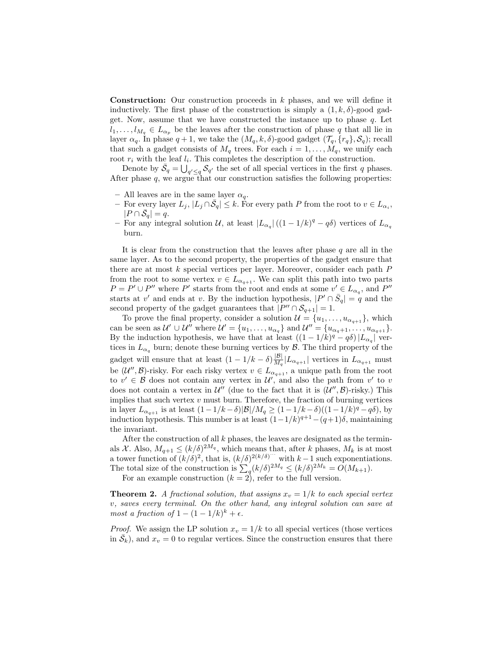Construction: Our construction proceeds in k phases, and we will define it inductively. The first phase of the construction is simply a  $(1, k, \delta)$ -good gadget. Now, assume that we have constructed the instance up to phase  $q$ . Let  $l_1, \ldots, l_{M_q} \in L_{\alpha_p}$  be the leaves after the construction of phase q that all lie in layer  $\alpha_q$ . In phase  $q+1$ , we take the  $(M_q, k, \delta)$ -good gadget  $(\mathcal{T}_q, \{r_q\}, \mathcal{S}_q)$ ; recall that such a gadget consists of  $M_q$  trees. For each  $i = 1, \ldots, M_q$ , we unify each root  $r_i$  with the leaf  $l_i$ . This completes the description of the construction.

Denote by  $\bar{S}_q = \bigcup_{q' \leq q} S_{q'}$  the set of all special vertices in the first q phases. After phase  $q$ , we argue that our construction satisfies the following properties:

- All leaves are in the same layer  $\alpha_q$ .
- For every layer  $L_j$ ,  $|L_j \cap \bar{S}_q|$  ≤ k. For every path P from the root to  $v \in L_{\alpha_i}$ ,  $|P \cap \overline{S}_q| = q.$
- For any integral solution U, at least  $|L_{\alpha_q}|((1-1/k)^q q\delta)$  vertices of  $L_{\alpha_q}$ burn.

It is clear from the construction that the leaves after phase  $q$  are all in the same layer. As to the second property, the properties of the gadget ensure that there are at most  $k$  special vertices per layer. Moreover, consider each path  $P$ from the root to some vertex  $v \in L_{\alpha_{q+1}}$ . We can split this path into two parts  $P = P' \cup P''$  where P' starts from the root and ends at some  $v' \in L_{\alpha_q}$ , and P'' starts at v' and ends at v. By the induction hypothesis,  $|P' \cap \overline{S}_q| = q$  and the second property of the gadget guarantees that  $|P'' \cap S_{q+1}| = 1$ .

To prove the final property, consider a solution  $\mathcal{U} = \{u_1, \ldots, u_{\alpha_{q+1}}\}$ , which can be seen as  $\mathcal{U}' \cup \mathcal{U}''$  where  $\mathcal{U}' = \{u_1, \ldots, u_{\alpha_q}\}\$  and  $\mathcal{U}'' = \{u_{\alpha_q+1}, \ldots, u_{\alpha_{q+1}}\}.$ By the induction hypothesis, we have that at least  $((1 - 1/k)^q - q\delta) |L_{\alpha_q}|$  vertices in  $L_{\alpha_q}$  burn; denote these burning vertices by  $\beta$ . The third property of the gadget will ensure that at least  $(1 - 1/k - \delta) \frac{|\mathcal{B}|}{M}$  $\frac{|\mathcal{D}|}{M_q} |L_{\alpha_{q+1}}|$  vertices in  $L_{\alpha_{q+1}}$  must be  $(\mathcal{U}'', \mathcal{B})$ -risky. For each risky vertex  $v \in L_{\alpha_{q+1}}$ , a unique path from the root to  $v' \in \mathcal{B}$  does not contain any vertex in  $\mathcal{U}'$ , and also the path from  $v'$  to v does not contain a vertex in  $\mathcal{U}''$  (due to the fact that it is  $(\mathcal{U}'', \mathcal{B})$ -risky.) This implies that such vertex  $v$  must burn. Therefore, the fraction of burning vertices in layer  $L_{\alpha_{q+1}}$  is at least  $(1-1/k-\delta)|\mathcal{B}|/M_q \geq (1-1/k-\delta)((1-1/k)^q-q\delta)$ , by induction hypothesis. This number is at least  $(1-1/k)^{q+1}-(q+1)\delta$ , maintaining the invariant.

After the construction of all  $k$  phases, the leaves are designated as the terminals X. Also,  $M_{q+1} \leq (k/\delta)^{2M_q}$ , which means that, after k phases,  $M_k$  is at most a tower function of  $(k/\delta)^2$ , that is,  $(k/\delta)^{2(k/\delta)}$  with  $k-1$  such exponentiations. The total size of the construction is  $\sum_{q} (k/\delta)^{2M_q} \leq (k/\delta)^{2M_k} = O(M_{k+1}).$ 

For an example construction  $(k = 2)$ , refer to the full version.

**Theorem 2.** A fractional solution, that assigns  $x_v = 1/k$  to each special vertex v, saves every terminal. On the other hand, any integral solution can save at most a fraction of  $1 - (1 - 1/k)^k + \epsilon$ .

*Proof.* We assign the LP solution  $x_v = 1/k$  to all special vertices (those vertices in  $\overline{\mathcal{S}_k}$ ), and  $x_v = 0$  to regular vertices. Since the construction ensures that there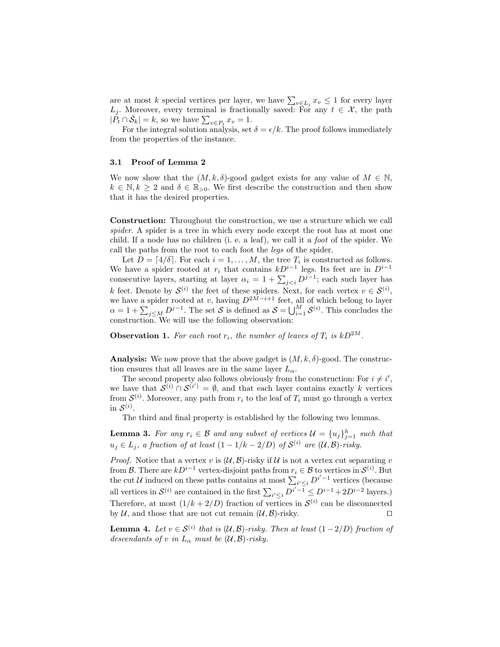are at most k special vertices per layer, we have  $\sum_{v \in L_j} x_v \leq 1$  for every layer  $L_j$ . Moreover, every terminal is fractionally saved: For any  $t \in \mathcal{X}$ , the path  $|\dot{P}_t \cap \bar{S}_k| = k$ , so we have  $\sum_{v \in P_t} x_v = 1$ .

For the integral solution analysis, set  $\delta = \epsilon/k$ . The proof follows immediately from the properties of the instance.

#### 3.1 Proof of Lemma 2

We now show that the  $(M, k, \delta)$ -good gadget exists for any value of  $M \in \mathbb{N}$ ,  $k \in \mathbb{N}, k \geq 2$  and  $\delta \in \mathbb{R}_{>0}$ . We first describe the construction and then show that it has the desired properties.

Construction: Throughout the construction, we use a structure which we call spider. A spider is a tree in which every node except the root has at most one child. If a node has no children (i. e. a leaf), we call it a foot of the spider. We call the paths from the root to each foot the legs of the spider.

Let  $D = \lfloor 4/\delta \rfloor$ . For each  $i = 1, ..., M$ , the tree  $T_i$  is constructed as follows. We have a spider rooted at  $r_i$  that contains  $kD^{i-1}$  legs. Its feet are in  $D^{i-1}$ consecutive layers, starting at layer  $\alpha_i = 1 + \sum_{j; each such layer has$ k feet. Denote by  $\mathcal{S}^{(i)}$  the feet of these spiders. Next, for each vertex  $v \in \mathcal{S}^{(i)}$ , we have a spider rooted at v, having  $D^{2M-i+1}$  feet, all of which belong to layer  $\alpha = 1 + \sum_{j \leq M} D^{j-1}$ . The set S is defined as  $\mathcal{S} = \bigcup_{i=1}^{M} \mathcal{S}^{(i)}$ . This concludes the construction. We will use the following observation:

**Observation 1.** For each root  $r_i$ , the number of leaves of  $T_i$  is  $kD^{2M}$ .

**Analysis:** We now prove that the above gadget is  $(M, k, \delta)$ -good. The construction ensures that all leaves are in the same layer  $L_{\alpha}$ .

The second property also follows obviously from the construction: For  $i \neq i'$ , we have that  $\mathcal{S}^{(i)} \cap \mathcal{S}^{(i')} = \emptyset$ , and that each layer contains exactly k vertices from  $\mathcal{S}^{(i)}$ . Moreover, any path from  $r_i$  to the leaf of  $T_i$  must go through a vertex in  $\mathcal{S}^{(i)}$ .

The third and final property is established by the following two lemmas.

**Lemma 3.** For any  $r_i \in \mathcal{B}$  and any subset of vertices  $\mathcal{U} = \{u_j\}_{j=1}^h$  such that  $u_j \in L_j$ , a fraction of at least  $(1 - 1/k - 2/D)$  of  $\mathcal{S}^{(i)}$  are  $(\mathcal{U}, \mathcal{B})$ -risky.

*Proof.* Notice that a vertex v is  $(\mathcal{U}, \mathcal{B})$ -risky if  $\mathcal{U}$  is not a vertex cut separating v from B. There are  $kD^{i-1}$  vertex-disjoint paths from  $r_i \in \mathcal{B}$  to vertices in  $\mathcal{S}^{(i)}$ . But the cut U induced on these paths contains at most  $\sum_{i' \leq i} D^{i'-1}$  vertices (because all vertices in  $S^{(i)}$  are contained in the first  $\sum_{i' \leq i} D^{i'-1} \leq D^{i-1} + 2D^{i-2}$  layers.) Therefore, at most  $(1/k + 2/D)$  fraction of vertices in  $\mathcal{S}^{(i)}$  can be disconnected by U, and those that are not cut remain  $(\mathcal{U}, \mathcal{B})$ -risky.

**Lemma 4.** Let  $v \in \mathcal{S}^{(i)}$  that is  $(\mathcal{U}, \mathcal{B})$ -risky. Then at least  $(1 - 2/D)$  fraction of descendants of v in  $L_{\alpha}$  must be  $(\mathcal{U}, \mathcal{B})$ -risky.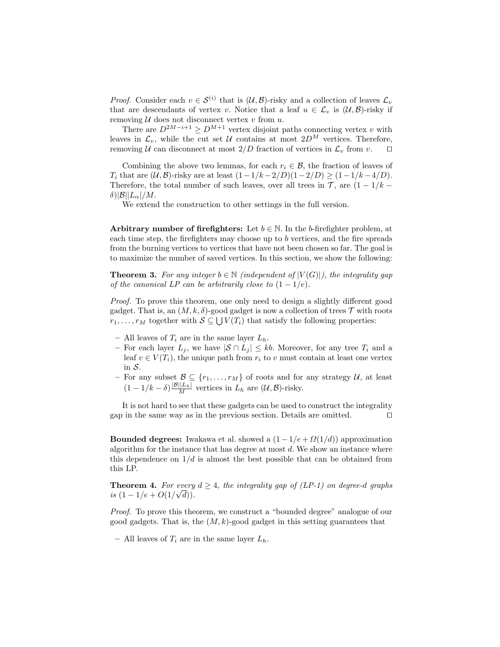*Proof.* Consider each  $v \in S^{(i)}$  that is  $(\mathcal{U}, \mathcal{B})$ -risky and a collection of leaves  $\mathcal{L}_v$ that are descendants of vertex v. Notice that a leaf  $u \in \mathcal{L}_v$  is  $(\mathcal{U}, \mathcal{B})$ -risky if removing  $U$  does not disconnect vertex  $v$  from  $u$ .

There are  $D^{2M-i+1} \ge D^{M+1}$  vertex disjoint paths connecting vertex v with leaves in  $\mathcal{L}_v$ , while the cut set U contains at most  $2D^M$  vertices. Therefore, removing U can disconnect at most  $2/D$  fraction of vertices in  $\mathcal{L}_v$  from  $v$ .  $\square$ 

Combining the above two lemmas, for each  $r_i \in \mathcal{B}$ , the fraction of leaves of  $T_i$  that are  $(\mathcal{U}, \mathcal{B})$ -risky are at least  $(1 - 1/k - 2/D)(1 - 2/D) \ge (1 - 1/k - 4/D)$ . Therefore, the total number of such leaves, over all trees in  $\mathcal{T}$ , are  $(1 - 1/k - 1)$ δ) $|B||L_α|/M$ .

We extend the construction to other settings in the full version.

Arbitrary number of firefighters: Let  $b \in \mathbb{N}$ . In the b-firefighter problem, at each time step, the firefighters may choose up to b vertices, and the fire spreads from the burning vertices to vertices that have not been chosen so far. The goal is to maximize the number of saved vertices. In this section, we show the following:

**Theorem 3.** For any integer  $b \in \mathbb{N}$  (independent of  $|V(G)|$ ), the integrality gap of the canonical LP can be arbitrarily close to  $(1 - 1/e)$ .

Proof. To prove this theorem, one only need to design a slightly different good gadget. That is, an  $(M, k, \delta)$ -good gadget is now a collection of trees  $\mathcal T$  with roots  $r_1, \ldots, r_M$  together with  $S \subseteq \bigcup V(T_i)$  that satisfy the following properties:

- All leaves of  $T_i$  are in the same layer  $L_h$ .
- For each layer  $L_j$ , we have  $|S ∩ L_j|$  ≤ kb. Moreover, for any tree  $T_i$  and a leaf  $v \in V(T_i)$ , the unique path from  $r_i$  to v must contain at least one vertex in  $S$ .
- For any subset  $\mathcal{B} \subseteq \{r_1, \ldots, r_M\}$  of roots and for any strategy  $\mathcal{U}$ , at least  $(1 - 1/k - \delta) \frac{|\mathcal{B}||L_h|}{M}$  vertices in  $L_h$  are  $(\mathcal{U}, \mathcal{B})$ -risky.

It is not hard to see that these gadgets can be used to construct the integrality gap in the same way as in the previous section. Details are omitted.  $\Box$ 

Bounded degrees: Iwakawa et al. showed a  $(1 - 1/e + \Omega(1/d))$  approximation algorithm for the instance that has degree at most  $d$ . We show an instance where this dependence on  $1/d$  is almost the best possible that can be obtained from this LP.

**Theorem 4.** For every  $d \geq 4$ , the integrality gap of (LP-1) on degree-d graphs is  $(1 - 1/e + O(1/\sqrt{d})).$ 

Proof. To prove this theorem, we construct a "bounded degree" analogue of our good gadgets. That is, the  $(M, k)$ -good gadget in this setting guarantees that

– All leaves of  $T_i$  are in the same layer  $L_h$ .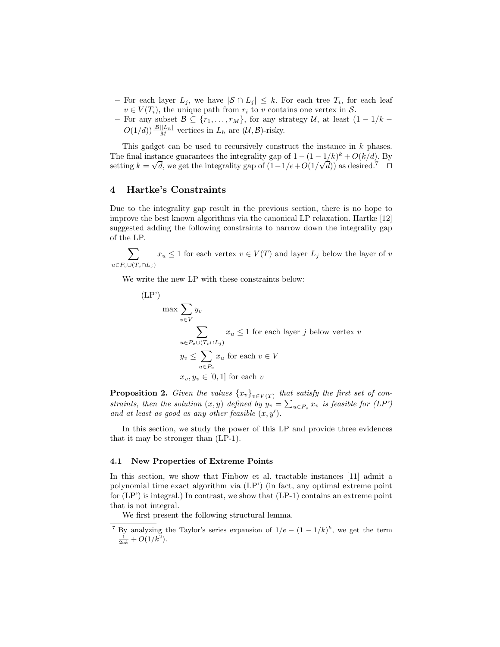- For each layer  $L_j$ , we have  $|S \cap L_j|$  ≤ k. For each tree  $T_i$ , for each leaf  $v \in V(T_i)$ , the unique path from  $r_i$  to v contains one vertex in S.
- For any subset  $\mathcal{B} \subseteq \{r_1, \ldots, r_M\}$ , for any strategy  $\mathcal{U}$ , at least  $(1 1/k \mathcal{U})$  $O(1/d))^{\frac{|\mathcal{B}||L_h|}{M}}$  vertices in  $L_h$  are  $(\mathcal{U}, \mathcal{B})$ -risky.

This gadget can be used to recursively construct the instance in k phases. The final instance guarantees the integrality gap of  $1 - (1 - 1/k)^k + O(k/d)$ . By setting  $k = \sqrt{d}$ , we get the integrality gap of  $(1-1/e+O(1/\sqrt{d}))$  as desired.<sup>7</sup> □

# 4 Hartke's Constraints

Due to the integrality gap result in the previous section, there is no hope to improve the best known algorithms via the canonical LP relaxation. Hartke [12] suggested adding the following constraints to narrow down the integrality gap of the LP.

 $\sum$  $u \in P_v \cup (T_v \cap L_j)$  $x_u \leq 1$  for each vertex  $v \in V(T)$  and layer  $L_j$  below the layer of v

We write the new LP with these constraints below:

$$
(LP')\n\max \sum_{v \in V} y_v
$$
\n
$$
\sum_{u \in P_v \cup (T_v \cap L_j)} x_u \le 1 \text{ for each layer } j \text{ below vertex } v
$$
\n
$$
y_v \le \sum_{u \in P_v} x_u \text{ for each } v \in V
$$
\n
$$
x_v, y_v \in [0, 1] \text{ for each } v
$$

**Proposition 2.** Given the values  $\{x_v\}_{v \in V(T)}$  that satisfy the first set of constraints, then the solution  $(x, y)$  defined by  $y_v = \sum_{u \in P_v} x_v$  is feasible for  $(LP')$ and at least as good as any other feasible  $(x, y')$ .

In this section, we study the power of this LP and provide three evidences that it may be stronger than (LP-1).

#### 4.1 New Properties of Extreme Points

In this section, we show that Finbow et al. tractable instances [11] admit a polynomial time exact algorithm via (LP') (in fact, any optimal extreme point for  $(LP')$  is integral.) In contrast, we show that  $(LP-1)$  contains an extreme point that is not integral.

We first present the following structural lemma.

<sup>&</sup>lt;sup>7</sup> By analyzing the Taylor's series expansion of  $1/e - (1 - 1/k)^k$ , we get the term  $\frac{1}{2ek} + O(1/k^2)$ .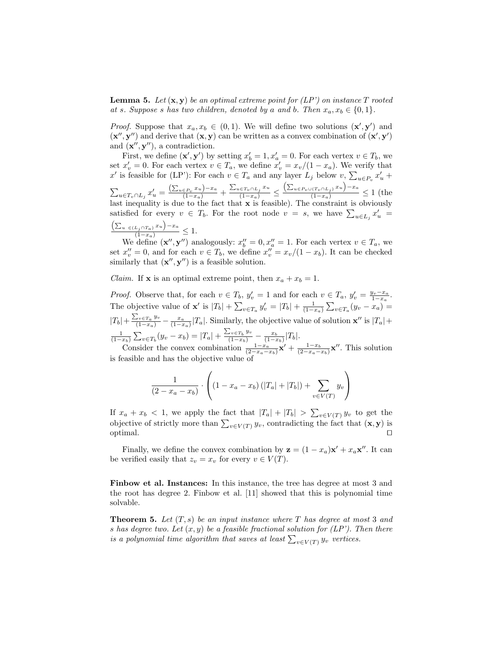**Lemma 5.** Let  $(\mathbf{x}, \mathbf{y})$  be an optimal extreme point for  $(LP')$  on instance T rooted at s. Suppose s has two children, denoted by a and b. Then  $x_a, x_b \in \{0, 1\}$ .

*Proof.* Suppose that  $x_a, x_b \in (0,1)$ . We will define two solutions  $(\mathbf{x}', \mathbf{y}')$  and  $(\mathbf{x}'', \mathbf{y}'')$  and derive that  $(\mathbf{x}, \mathbf{y})$  can be written as a convex combination of  $(\mathbf{x}', \mathbf{y}')$ and  $(\mathbf{x}'', \mathbf{y}'')$ , a contradiction.

First, we define  $(\mathbf{x}', \mathbf{y}')$  by setting  $x'_b = 1, x'_a = 0$ . For each vertex  $v \in T_b$ , we set  $x'_v = 0$ . For each vertex  $v \in T_a$ , we define  $x'_v = x_v/(1 - x_a)$ . We verify that  $x'$  is feasible for (LP'): For each  $v \in T_a$  and any layer  $L_j$  below  $v, \sum_{u \in P_v} x'_u +$ 

 $\sum_{u \in T_v \cap L_j} x'_u = \frac{(\sum_{u \in P_v} x_u) - x_a}{(1 - x_a)} + \frac{\sum_{u \in T_v \cap L_j} x_u}{(1 - x_a)} \le$  $\frac{\left(\sum_{u \in P_v \cup (T_v \cap L_j)} x_u\right) - x_a}{(1-x_a)} \le 1$  (the last inequality is due to the fact that  $x$  is feasible). The constraint is obviously satisfied for every  $v \in T_b$ . For the root node  $v = s$ , we have  $\sum_{u \in L_j} x'_u =$  $\frac{\left(\sum_{u \in (L_j \cap T_a)} x_u\right) - x_a}{(1 - x_a)} \leq 1.$ 

We define  $(\mathbf{x}'', \mathbf{y}'')$  analogously:  $x_0'' = 0, x_0'' = 1$ . For each vertex  $v \in T_a$ , we  $x'' = 0$  and for each  $v \in T_a$  we define  $x'' = x/(1-x)$ . It can be checked set  $x''_v = 0$ , and for each  $v \in T_b$ , we define  $x''_v = x_v/(1 - x_b)$ . It can be checked similarly that  $(\mathbf{x}'', \mathbf{y}'')$  is a feasible solution.

*Claim.* If **x** is an optimal extreme point, then  $x_a + x_b = 1$ .

*Proof.* Observe that, for each  $v \in T_b$ ,  $y'_v = 1$  and for each  $v \in T_a$ ,  $y'_v = \frac{y_v - x_a}{1 - x_a}$ . The objective value of **x'** is  $|T_b| + \sum_{v \in T_a} y'_v = |T_b| + \frac{1}{(1-x_a)} \sum_{v \in T_a} (y_v - x_a) =$  $|T_b| + \frac{\sum_{v \in T_a} y_v}{(1-x_a)} - \frac{x_a}{(1-x_a)}|T_a|$ . Similarly, the objective value of solution  $\mathbf{x}''$  is  $|T_a|$  +  $\frac{1}{(1-x_b)}\sum_{v\in T_b}(y_v-x_b)=|T_a|+\frac{\sum_{v\in T_b}y_v}{(1-x_b)}-\frac{x_b}{(1-x_b)}|T_b|.$ 

Consider the convex combination  $\frac{1-x_a}{(2-x_a-x_b)}\mathbf{x}' + \frac{1-x_b}{(2-x_a-x_b)}\mathbf{x}''$ . This solution is feasible and has the objective value of

$$
\frac{1}{(2 - x_a - x_b)} \cdot \left( (1 - x_a - x_b) \left( |T_a| + |T_b| \right) + \sum_{v \in V(T)} y_v \right)
$$

If  $x_a + x_b < 1$ , we apply the fact that  $|T_a| + |T_b| > \sum_{v \in V(T)} y_v$  to get the objective of strictly more than  $\sum_{v \in V(T)} y_v$ , contradicting the fact that  $(\mathbf{x}, \mathbf{y})$  is optimal.  $\Box$ 

Finally, we define the convex combination by  $z = (1 - x_a)x' + x_a x''$ . It can be verified easily that  $z_v = x_v$  for every  $v \in V(T)$ .

Finbow et al. Instances: In this instance, the tree has degree at most 3 and the root has degree 2. Finbow et al. [11] showed that this is polynomial time solvable.

**Theorem 5.** Let  $(T, s)$  be an input instance where T has degree at most 3 and s has degree two. Let  $(x, y)$  be a feasible fractional solution for  $(LP')$ . Then there is a polynomial time algorithm that saves at least  $\sum_{v \in V(T)} y_v$  vertices.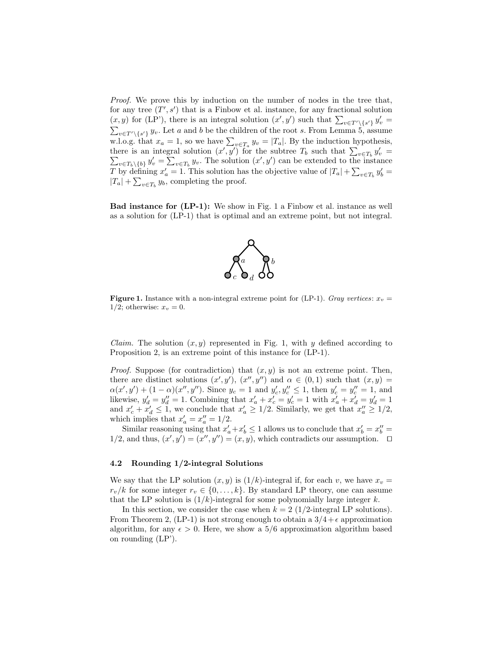Proof. We prove this by induction on the number of nodes in the tree that, for any tree  $(T', s')$  that is a Finbow et al. instance, for any fractional solution  $(x, y)$  for (LP'), there is an integral solution  $(x', y')$  such that  $\sum_{v \in T' \setminus \{s'\}} y'_v =$  $\sum_{v \in T' \setminus \{s'\}} y_v$ . Let a and b be the children of the root s. From Lemma 5, assume w.l.o.g. that  $x_a = 1$ , so we have  $\sum_{v \in T_a} y_v = |T_a|$ . By the induction hypothesis, there is an integral solution  $(x', y')$  for the subtree  $T_b$  such that  $\sum_{v \in T_b} y'_v = \sum_{v \in T_b} y'_v = \sum_{v \in T_b} y_v$ . The solution  $(x', y')$  can be extended to the instance  $v \in T_b \setminus \{b\}$   $y'_v = \sum_{v \in T_b} y_v$ . The solution  $(x', y')$  can be extended to the instance T by defining  $x'_a = 1$ . This solution has the objective value of  $|T_a| + \sum_{v \in T_b} y'_b =$  $|T_a| + \sum_{v \in T_b} y_b$ , completing the proof.

Bad instance for (LP-1): We show in Fig. 1 a Finbow et al. instance as well as a solution for (LP-1) that is optimal and an extreme point, but not integral.



**Figure 1.** Instance with a non-integral extreme point for (LP-1). Gray vertices:  $x_v$  = 1/2; otherwise:  $x_v = 0$ .

*Claim.* The solution  $(x, y)$  represented in Fig. 1, with y defined according to Proposition 2, is an extreme point of this instance for (LP-1).

*Proof.* Suppose (for contradiction) that  $(x, y)$  is not an extreme point. Then, there are distinct solutions  $(x', y')$ ,  $(x'', y'')$  and  $\alpha \in (0, 1)$  such that  $(x, y)$  $\alpha(x', y') + (1 - \alpha)(x'', y'')$ . Since  $y_c = 1$  and  $y'_c, y''_c \le 1$ , then  $y'_c = y''_c = 1$ , and likewise,  $y'_d = y''_d = 1$ . Combining that  $x'_a + x'_c = y'_c = 1$  with  $x'_a + x'_d = y'_d = 1$ and  $x'_c + x'_d \leq 1$ , we conclude that  $x'_a \geq 1/2$ . Similarly, we get that  $x''_a \geq 1/2$ , which implies that  $x'_a = x''_a = 1/2$ .

Similar reasoning using that  $x'_a + x'_b \le 1$  allows us to conclude that  $x'_b = x''_b = 1$  $1/2$ , and thus,  $(x', y') = (x'', y'') = (x, y)$ , which contradicts our assumption.  $\Box$ 

#### 4.2 Rounding 1/2-integral Solutions

We say that the LP solution  $(x, y)$  is  $(1/k)$ -integral if, for each v, we have  $x_v =$  $r_v/k$  for some integer  $r_v \in \{0, \ldots, k\}$ . By standard LP theory, one can assume that the LP solution is  $(1/k)$ -integral for some polynomially large integer k.

In this section, we consider the case when  $k = 2$  (1/2-integral LP solutions). From Theorem 2, (LP-1) is not strong enough to obtain a  $3/4+\epsilon$  approximation algorithm, for any  $\epsilon > 0$ . Here, we show a 5/6 approximation algorithm based on rounding (LP').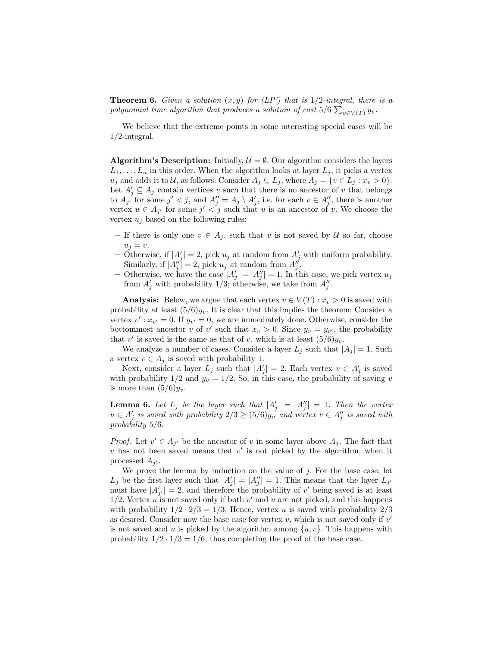**Theorem 6.** Given a solution  $(x, y)$  for  $(LP')$  that is 1/2-integral, there is a polynomial time algorithm that produces a solution of cost  $5/6\, \sum_{v\in V(T)} y_v.$ 

We believe that the extreme points in some interesting special cases will be 1/2-integral.

**Algorithm's Description:** Initially,  $\mathcal{U} = \emptyset$ . Our algorithm considers the layers  $L_1, \ldots, L_n$  in this order. When the algorithm looks at layer  $L_j$ , it picks a vertex  $u_j$  and adds it to U, as follows. Consider  $A_j \subseteq L_j$ , where  $A_j = \{v \in L_j : x_v > 0\}.$ Let  $A'_j \subseteq A_j$  contain vertices v such that there is no ancestor of v that belongs to  $A_{j'}$  for some  $j' < j$ , and  $A''_j = A_j \setminus A'_j$ , i.e. for each  $v \in A''_j$ , there is another vertex  $u \in A_{j'}$  for some  $j' < j$  such that u is an ancestor of v. We choose the vertex  $u_i$  based on the following rules:

- If there is only one  $v \in A_i$ , such that v is not saved by U so far, choose  $u_i = v.$
- Otherwise, if  $|A'_j| = 2$ , pick  $u_j$  at random from  $A'_j$  with uniform probability. Similarly, if  $|A''_j| = 2$ , pick  $u_j$  at random from  $A''_j$ .
- Otherwise, we have the case  $|A'_j| = |A''_j| = 1$ . In this case, we pick vertex  $u_j$ from  $A'_j$  with probability 1/3; otherwise, we take from  $A''_j$ .

**Analysis:** Below, we argue that each vertex  $v \in V(T)$ :  $x_v > 0$  is saved with probability at least  $(5/6)y_v$ . It is clear that this implies the theorem: Consider a vertex  $v'$ :  $x_{v'} = 0$ . If  $y_{v'} = 0$ , we are immediately done. Otherwise, consider the bottommost ancestor v of v' such that  $x_v > 0$ . Since  $y_v = y_{v'}$ , the probability that v' is saved is the same as that of v, which is at least  $(5/6)y_v$ .

We analyze a number of cases. Consider a layer  $L_j$  such that  $|A_j| = 1$ . Such a vertex  $v \in A_j$  is saved with probability 1.

Next, consider a layer  $L_j$  such that  $|A'_j| = 2$ . Each vertex  $v \in A'_j$  is saved with probability  $1/2$  and  $y_v = 1/2$ . So, in this case, the probability of saving v is more than  $(5/6)y_v$ .

**Lemma 6.** Let  $L_j$  be the layer such that  $|A'_j| = |A''_j| = 1$ . Then the vertex  $u \in A'_{j}$  is saved with probability  $2/3 \geq (5/6)y_{u}^{j}$  and vertex  $v \in A''_{j}$  is saved with probability 5/6.

*Proof.* Let  $v' \in A_{j'}$  be the ancestor of v in some layer above  $A_j$ . The fact that  $v$  has not been saved means that  $v'$  is not picked by the algorithm, when it processed  $A_{j'}$ .

We prove the lemma by induction on the value of  $j$ . For the base case, let  $L_j$  be the first layer such that  $|A'_j| = |A''_j| = 1$ . This means that the layer  $L_{j'}$ must have  $|A'_{j'}| = 2$ , and therefore the probability of v' being saved is at least  $1/2$ . Vertex u is not saved only if both v' and u are not picked, and this happens with probability  $1/2 \cdot 2/3 = 1/3$ . Hence, vertex u is saved with probability  $2/3$ as desired. Consider now the base case for vertex  $v$ , which is not saved only if  $v'$ is not saved and u is picked by the algorithm among  $\{u, v\}$ . This happens with probability  $1/2 \cdot 1/3 = 1/6$ , thus completing the proof of the base case.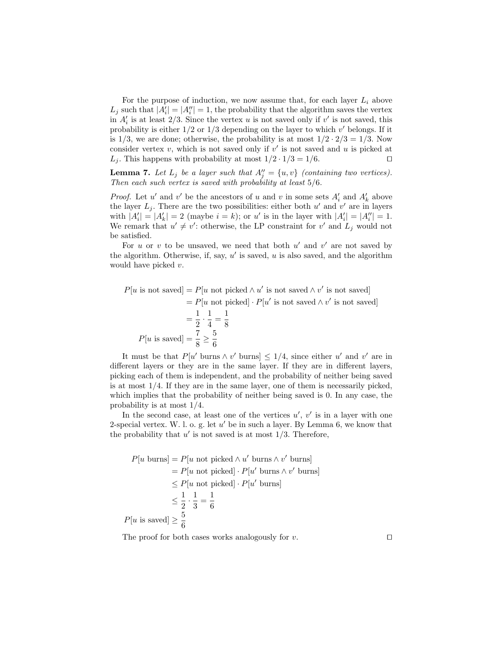For the purpose of induction, we now assume that, for each layer  $L_i$  above  $L_j$  such that  $|A'_i| = |A''_i| = 1$ , the probability that the algorithm saves the vertex in  $A_i'$  is at least 2/3. Since the vertex u is not saved only if v' is not saved, this probability is either  $1/2$  or  $1/3$  depending on the layer to which  $v'$  belongs. If it is 1/3, we are done; otherwise, the probability is at most  $1/2 \cdot 2/3 = 1/3$ . Now consider vertex  $v$ , which is not saved only if  $v'$  is not saved and  $u$  is picked at  $L_i$ . This happens with probability at most  $1/2 \cdot 1/3 = 1/6$ .

**Lemma 7.** Let  $L_j$  be a layer such that  $A''_j = \{u, v\}$  (containing two vertices). Then each such vertex is saved with probability at least 5/6.

*Proof.* Let u' and v' be the ancestors of u and v in some sets  $A'_i$  and  $A'_k$  above the layer  $L_j$ . There are the two possibilities: either both u' and v' are in layers with  $|A'_i| = |A'_k| = 2$  (maybe  $i = k$ ); or u' is in the layer with  $|A'_i| = |A''_i| = 1$ . We remark that  $u' \neq v'$ : otherwise, the LP constraint for v' and  $L_j$  would not be satisfied.

For  $u$  or  $v$  to be unsaved, we need that both  $u'$  and  $v'$  are not saved by the algorithm. Otherwise, if, say,  $u'$  is saved,  $u$  is also saved, and the algorithm would have picked v.

 $P[u \text{ is not saved}] = P[u \text{ not picked} \wedge u' \text{ is not saved} \wedge v' \text{ is not saved}]$  $= P[u \text{ not picked}] \cdot P[u' \text{ is not saved} \wedge v' \text{ is not saved}]$  $=\frac{1}{2}$  $\frac{1}{2} \cdot \frac{1}{4}$  $\frac{1}{4} = \frac{1}{8}$ 8  $P[u \text{ is saved}] = \frac{7}{8} \ge \frac{5}{6}$ 6

It must be that  $P[u'$  burns  $\land v'$  burns]  $\leq 1/4$ , since either u' and v' are in different layers or they are in the same layer. If they are in different layers, picking each of them is independent, and the probability of neither being saved is at most 1/4. If they are in the same layer, one of them is necessarily picked, which implies that the probability of neither being saved is 0. In any case, the probability is at most 1/4.

In the second case, at least one of the vertices  $u'$ ,  $v'$  is in a layer with one 2-special vertex. W. l. o. g. let  $u'$  be in such a layer. By Lemma 6, we know that the probability that  $u'$  is not saved is at most  $1/3$ . Therefore,

$$
P[u \text{ burns}] = P[u \text{ not picked} \land u' \text{ burns} \land v' \text{ burns}]
$$
  
=  $P[u \text{ not picked}] \cdot P[u' \text{ burns} \land v' \text{ burns}]$   
 $\leq P[u \text{ not picked}] \cdot P[u' \text{ burns}]$   
 $\leq \frac{1}{2} \cdot \frac{1}{3} = \frac{1}{6}$   
 $P[u \text{ is saved}] \geq \frac{5}{6}$ 

The proof for both cases works analogously for  $v$ .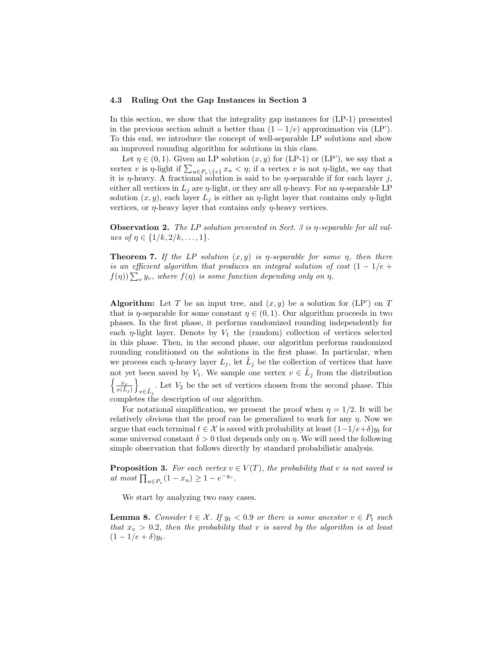#### 4.3 Ruling Out the Gap Instances in Section 3

In this section, we show that the integrality gap instances for (LP-1) presented in the previous section admit a better than  $(1 - 1/e)$  approximation via (LP'). To this end, we introduce the concept of well-separable LP solutions and show an improved rounding algorithm for solutions in this class.

Let  $\eta \in (0,1)$ . Given an LP solution  $(x, y)$  for (LP-1) or (LP'), we say that a vertex v is  $\eta$ -light if  $\sum_{u \in P_v \setminus \{v\}} x_u < \eta$ ; if a vertex v is not  $\eta$ -light, we say that it is  $\eta$ -heavy. A fractional solution is said to be  $\eta$ -separable if for each layer j, either all vertices in  $L_i$  are  $\eta$ -light, or they are all  $\eta$ -heavy. For an  $\eta$ -separable LP solution  $(x, y)$ , each layer  $L_i$  is either an  $\eta$ -light layer that contains only  $\eta$ -light vertices, or  $\eta$ -heavy layer that contains only  $\eta$ -heavy vertices.

Observation 2. The LP solution presented in Sect. 3 is η-separable for all values of  $\eta \in \{1/k, 2/k, ..., 1\}$ .

**Theorem 7.** If the LP solution  $(x, y)$  is *η*-separable for some *η*, then there is an efficient algorithm that produces an integral solution of cost  $(1 - 1/e +$  $f(\eta)$ ) $\sum_{v} y_v$ , where  $f(\eta)$  is some function depending only on  $\eta$ .

**Algorithm:** Let T be an input tree, and  $(x, y)$  be a solution for  $(LP')$  on T that is *η*-separable for some constant  $\eta \in (0,1)$ . Our algorithm proceeds in two phases. In the first phase, it performs randomized rounding independently for each  $\eta$ -light layer. Denote by  $V_1$  the (random) collection of vertices selected in this phase. Then, in the second phase, our algorithm performs randomized rounding conditioned on the solutions in the first phase. In particular, when we process each  $\eta$ -heavy layer  $L_j$ , let  $\tilde{L}_j$  be the collection of vertices that have not yet been saved by  $V_1$ . We sample one vertex  $v \in \tilde{L}_j$  from the distribution  $\left\{\frac{x_v}{x(\tilde{L}_j)}\right\}$ o . Let  $V_2$  be the set of vertices chosen from the second phase. This completes the description of our algorithm.

For notational simplification, we present the proof when  $\eta = 1/2$ . It will be relatively obvious that the proof can be generalized to work for any  $\eta$ . Now we argue that each terminal  $t \in \mathcal{X}$  is saved with probability at least  $(1-1/e+\delta)y_t$  for some universal constant  $\delta > 0$  that depends only on  $\eta$ . We will need the following simple observation that follows directly by standard probabilistic analysis.

**Proposition 3.** For each vertex  $v \in V(T)$ , the probability that v is not saved is at most  $\prod_{u \in P_v} (1 - x_u) \ge 1 - e^{-y_v}.$ 

We start by analyzing two easy cases.

**Lemma 8.** Consider  $t \in \mathcal{X}$ . If  $y_t < 0.9$  or there is some ancestor  $v \in P_t$  such that  $x_v > 0.2$ , then the probability that v is saved by the algorithm is at least  $(1 - 1/e + \delta)y_t$ .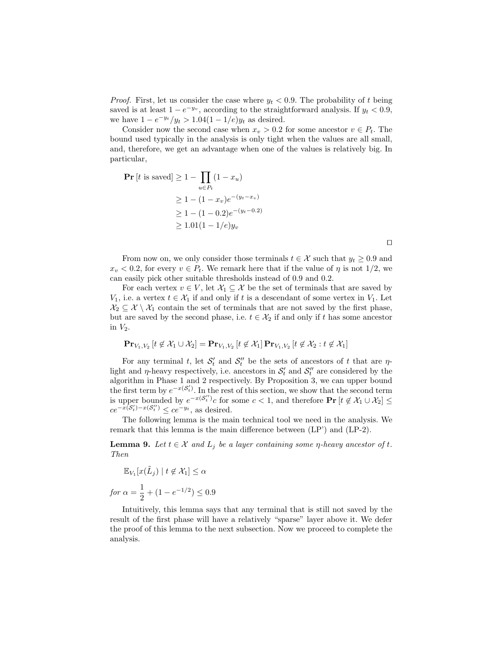*Proof.* First, let us consider the case where  $y_t < 0.9$ . The probability of t being saved is at least  $1 - e^{-y_v}$ , according to the straightforward analysis. If  $y_t < 0.9$ , we have  $1 - e^{-y_t}/y_t > 1.04(1 - 1/e)y_t$  as desired.

Consider now the second case when  $x_v > 0.2$  for some ancestor  $v \in P_t$ . The bound used typically in the analysis is only tight when the values are all small, and, therefore, we get an advantage when one of the values is relatively big. In particular,

$$
\begin{aligned} \Pr\left[t \text{ is saved}\right] &\ge 1 - \prod_{u \in P_t} (1 - x_u) \\ &\ge 1 - (1 - x_v)e^{-(y_t - x_v)} \\ &\ge 1 - (1 - 0.2)e^{-(y_t - 0.2)} \\ &\ge 1.01(1 - 1/e)y_v \end{aligned}
$$

 $\Box$ 

From now on, we only consider those terminals  $t \in \mathcal{X}$  such that  $y_t \geq 0.9$  and  $x_v < 0.2$ , for every  $v \in P_t$ . We remark here that if the value of  $\eta$  is not 1/2, we can easily pick other suitable thresholds instead of 0.9 and 0.2.

For each vertex  $v \in V$ , let  $\mathcal{X}_1 \subseteq \mathcal{X}$  be the set of terminals that are saved by V<sub>1</sub>, i.e. a vertex  $t \in \mathcal{X}_1$  if and only if t is a descendant of some vertex in V<sub>1</sub>. Let  $\mathcal{X}_2 \subseteq \mathcal{X} \setminus \mathcal{X}_1$  contain the set of terminals that are not saved by the first phase, but are saved by the second phase, i.e.  $t \in \mathcal{X}_2$  if and only if t has some ancestor in  $V_2$ .

$$
\mathbf{Pr}_{V_1,V_2}[t \notin \mathcal{X}_1 \cup \mathcal{X}_2] = \mathbf{Pr}_{V_1,V_2}[t \notin \mathcal{X}_1] \mathbf{Pr}_{V_1,V_2}[t \notin \mathcal{X}_2 : t \notin \mathcal{X}_1]
$$

For any terminal t, let  $S_t'$  and  $S_t''$  be the sets of ancestors of t that are  $\eta$ light and  $\eta$ -heavy respectively, i.e. ancestors in  $\mathcal{S}'_t$  and  $\mathcal{S}''_t$  are considered by the algorithm in Phase 1 and 2 respectively. By Proposition 3, we can upper bound the first term by  $e^{-x(S_t')}$ . In the rest of this section, we show that the second term is upper bounded by  $e^{-x(S_t'')}c$  for some  $c < 1$ , and therefore  $\mathbf{Pr}\left[t \notin \mathcal{X}_1 \cup \mathcal{X}_2\right] \leq$  $ce^{-x(S'_t)-x(S''_t)} \leq ce^{-y_t}$ , as desired.

The following lemma is the main technical tool we need in the analysis. We remark that this lemma is the main difference between (LP') and (LP-2).

**Lemma 9.** Let  $t \in \mathcal{X}$  and  $L_j$  be a layer containing some  $\eta$ -heavy ancestor of  $t$ . Then

$$
\mathbb{E}_{V_1}[x(\tilde{L}_j) \mid t \notin \mathcal{X}_1] \le \alpha
$$
  
for  $\alpha = \frac{1}{2} + (1 - e^{-1/2}) \le 0.9$ 

Intuitively, this lemma says that any terminal that is still not saved by the result of the first phase will have a relatively "sparse" layer above it. We defer the proof of this lemma to the next subsection. Now we proceed to complete the analysis.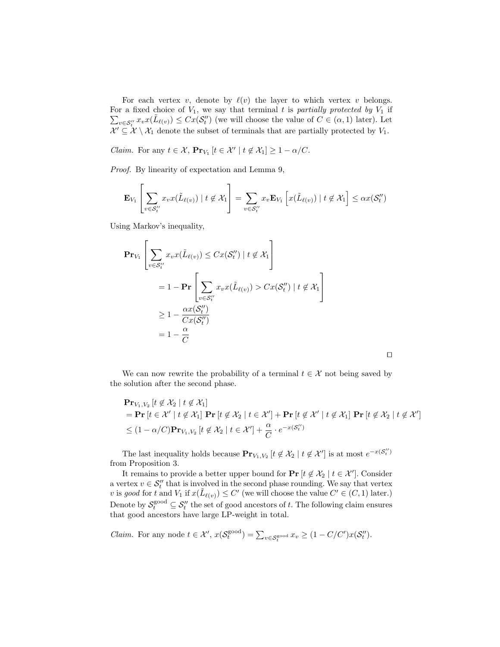For each vertex v, denote by  $\ell(v)$  the layer to which vertex v belongs.  $\sum_{v \in S''_t} x_v x(\tilde{L}_{\ell(v)}) \leq Cx(S''_t)$  (we will choose the value of  $C \in (\alpha, 1)$  later). Let For a fixed choice of  $V_1$ , we say that terminal t is partially protected by  $V_1$  if  $\mathcal{X}' \subseteq \mathcal{X} \setminus \mathcal{X}_1$  denote the subset of terminals that are partially protected by  $V_1$ .

*Claim.* For any  $t \in \mathcal{X}$ ,  $\mathbf{Pr}_{V_1} [t \in \mathcal{X}' | t \notin \mathcal{X}_1] \geq 1 - \alpha/C$ .

Proof. By linearity of expectation and Lemma 9,

$$
\mathbf{E}_{V_1}\left[\sum_{v \in \mathcal{S}_t''} x_v x(\tilde{L}_{\ell(v)}) \mid t \notin \mathcal{X}_1\right] = \sum_{v \in \mathcal{S}_t''} x_v \mathbf{E}_{V_1}\left[x(\tilde{L}_{\ell(v)}) \mid t \notin \mathcal{X}_1\right] \leq \alpha x(\mathcal{S}_t'')
$$

Using Markov's inequality,

$$
\begin{aligned} \mathbf{Pr}_{V_1} \left[ \sum_{v \in S_t''} x_v x(\tilde{L}_{\ell(v)}) \leq Cx(S_t'') \mid t \notin \mathcal{X}_1 \right] \\ &= 1 - \mathbf{Pr} \left[ \sum_{v \in S_t''} x_v x(\tilde{L}_{\ell(v)}) > Cx(S_t'') \mid t \notin \mathcal{X}_1 \right] \\ &\geq 1 - \frac{\alpha x(S_t'')}{Cx(S_t'')} \\ &= 1 - \frac{\alpha}{C} \end{aligned}
$$

We can now rewrite the probability of a terminal  $t \in \mathcal{X}$  not being saved by the solution after the second phase.

$$
\begin{aligned} &\mathbf{Pr}_{V_1,V_2}\left[t \notin \mathcal{X}_2 \mid t \notin \mathcal{X}_1\right] \\ &= \mathbf{Pr}\left[t \in \mathcal{X}' \mid t \notin \mathcal{X}_1\right] \mathbf{Pr}\left[t \notin \mathcal{X}_2 \mid t \in \mathcal{X}'\right] + \mathbf{Pr}\left[t \notin \mathcal{X}' \mid t \notin \mathcal{X}_1\right] \mathbf{Pr}\left[t \notin \mathcal{X}_2 \mid t \notin \mathcal{X}'\right] \\ &\leq (1 - \alpha/C)\mathbf{Pr}_{V_1,V_2}\left[t \notin \mathcal{X}_2 \mid t \in \mathcal{X}'\right] + \frac{\alpha}{C} \cdot e^{-x(S_t'')} \end{aligned}
$$

 $\Box$ 

The last inequality holds because  $Pr_{V_1,V_2}[t \notin X_2 \mid t \notin X']$  is at most  $e^{-x(S_t'')}$ from Proposition 3.

It remains to provide a better upper bound for  $\Pr[t \notin X_2 | t \in X']$ . Consider a vertex  $v \in \mathcal{S}'_t$  that is involved in the second phase rounding. We say that vertex v is good for t and  $V_1$  if  $x(\tilde{L}_{\ell(v)}) \leq C'$  (we will choose the value  $C' \in (C, 1)$  later.) Denote by  $S_t^{\text{good}} \subseteq S_t''$  the set of good ancestors of t. The following claim ensures that good ancestors have large LP-weight in total.

*Claim.* For any node 
$$
t \in \mathcal{X}'
$$
,  $x(\mathcal{S}_t^{\text{good}}) = \sum_{v \in \mathcal{S}_t^{\text{good}}} x_v \geq (1 - C/C')x(\mathcal{S}_t'')$ .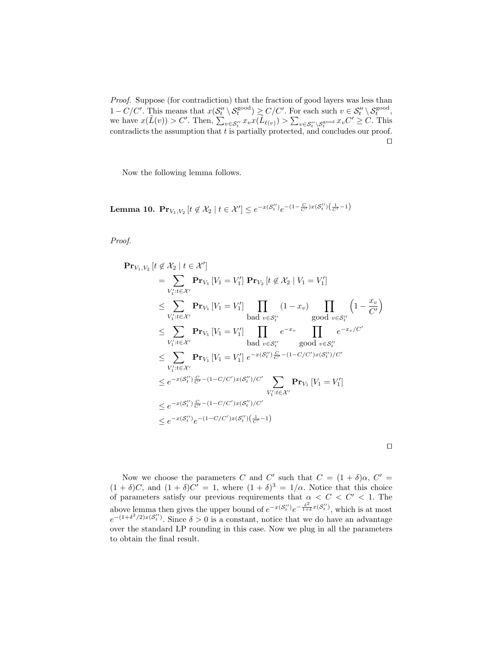Proof. Suppose (for contradiction) that the fraction of good layers was less than  $1 - C/C'$ . This means that  $x(S_t' \setminus S_t^{\text{good}}) \geq C/C'$ . For each such  $v \in S_t'' \setminus S_t^{\text{good}}$ , we have  $x(\tilde{L}(v)) > C'$ . Then,  $\sum_{v \in S''_t} x_v x(\tilde{L}_{\ell(v)}) > \sum_{v \in S''_t \setminus S_t^{\text{good}}} x_v C' \geq C$ . This contradicts the assumption that t is partially protected, and concludes our proof.  $\Box$ 

Now the following lemma follows.

Lemma 10.  $Pr_{V_1,V_2}\left[t\not\in \mathcal{X}_2 \mid t \in \mathcal{X}'\right] \leq e^{-x(\mathcal{S}_t'')}e^{-\left(1-\frac{C}{C'}\right)x(\mathcal{S}_t'')\left(\frac{1}{C'}-1\right)}$ 

Proof.

$$
\begin{split}\n\mathbf{Pr}_{V_1,V_2} \left[ t \notin \mathcal{X}_2 \mid t \in \mathcal{X}' \right] &= \sum_{V_1': t \in \mathcal{X}'} \mathbf{Pr}_{V_1} \left[ V_1 = V_1' \right] \mathbf{Pr}_{V_2} \left[ t \notin \mathcal{X}_2 \mid V_1 = V_1' \right] \\
&\leq \sum_{V_1': t \in \mathcal{X}'} \mathbf{Pr}_{V_1} \left[ V_1 = V_1' \right] \prod_{\text{bad } v \in \mathcal{S}_t''} \left( 1 - x_v \right) \prod_{\text{good } v \in \mathcal{S}_t''} \left( 1 - \frac{x_v}{C'} \right) \\
&\leq \sum_{V_1': t \in \mathcal{X}'} \mathbf{Pr}_{V_1} \left[ V_1 = V_1' \right] \prod_{\text{bad } v \in \mathcal{S}_t''} e^{-x_v} \prod_{\text{good } v \in \mathcal{S}_t''} e^{-x_v/C'} \\
&\leq \sum_{V_1': t \in \mathcal{X}'} \mathbf{Pr}_{V_1} \left[ V_1 = V_1' \right] e^{-x(S_t'')} \frac{C}{C'} - (1 - C/C')x(S_t'')/C'} \\
&\leq e^{-x(S_t'')} \frac{C}{C'} - (1 - C/C')x(S_t'')/C'} \sum_{V_1': t \in \mathcal{X}'} \mathbf{Pr}_{V_1} \left[ V_1 = V_1' \right] \\
&\leq e^{-x(S_t'')} \frac{C}{C'} - (1 - C/C')x(S_t'')/C'} \\
&\leq e^{-x(S_t'')} e^{-(1 - C/C')x(S_t'') \left( \frac{1}{C'} - 1 \right)}\n\end{split}
$$

| ۰<br>۰ |  |
|--------|--|
|        |  |
|        |  |
|        |  |

Now we choose the parameters C and C' such that  $C = (1 + \delta)\alpha$ ,  $C' =$  $(1 + \delta)C$ , and  $(1 + \delta)C' = 1$ , where  $(1 + \delta)^3 = 1/\alpha$ . Notice that this choice of parameters satisfy our previous requirements that  $\alpha < C < C' < 1$ . The above lemma then gives the upper bound of  $e^{-x(S_t'')}e^{-\frac{\delta^2}{1+\delta}x(S_t'')}$ , which is at most  $e^{-(1+\delta^2/2)x(S_t'')}$ . Since  $\delta > 0$  is a constant, notice that we do have an advantage over the standard LP rounding in this case. Now we plug in all the parameters to obtain the final result.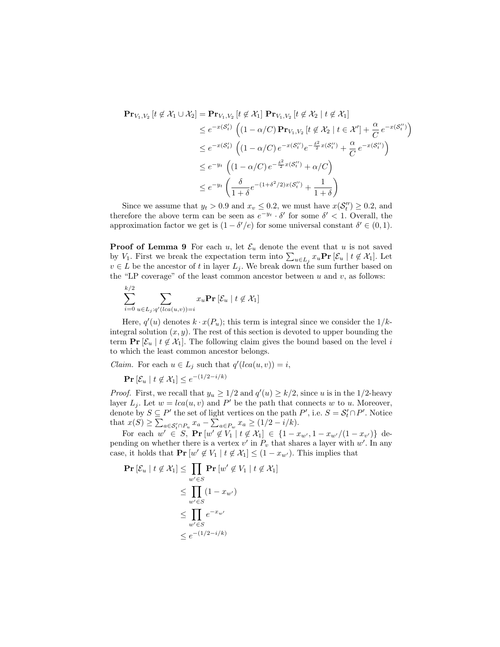$$
\begin{split} \mathbf{Pr}_{V_1, V_2} \left[ t \notin \mathcal{X}_1 \cup \mathcal{X}_2 \right] &= \mathbf{Pr}_{V_1, V_2} \left[ t \notin \mathcal{X}_1 \right] \, \mathbf{Pr}_{V_1, V_2} \left[ t \notin \mathcal{X}_2 \mid t \notin \mathcal{X}_1 \right] \\ &\leq e^{-x(S_t')} \, \left( (1 - \alpha/C) \, \mathbf{Pr}_{V_1, V_2} \left[ t \notin \mathcal{X}_2 \mid t \in \mathcal{X}' \right] + \frac{\alpha}{C} \, e^{-x(S_t'')} \right) \\ &\leq e^{-x(S_t')} \, \left( (1 - \alpha/C) \, e^{-x(S_t'')} e^{-\frac{\delta^2}{2} x(S_t'')} + \frac{\alpha}{C} \, e^{-x(S_t'')} \right) \\ &\leq e^{-y_t} \, \left( (1 - \alpha/C) \, e^{-\frac{\delta^2}{2} x(S_t'')} + \alpha/C \right) \\ &\leq e^{-y_t} \, \left( \frac{\delta}{1 + \delta} e^{-(1 + \delta^2/2)x(S_t'')} + \frac{1}{1 + \delta} \right) \end{split}
$$

Since we assume that  $y_t > 0.9$  and  $x_v \le 0.2$ , we must have  $x(S_t'') \ge 0.2$ , and therefore the above term can be seen as  $e^{-y_t} \cdot \delta'$  for some  $\delta' < 1$ . Overall, the approximation factor we get is  $(1 - \delta'/e)$  for some universal constant  $\delta' \in (0, 1)$ .

**Proof of Lemma 9** For each u, let  $\mathcal{E}_u$  denote the event that u is not saved by  $V_1$ . First we break the expectation term into  $\sum_{u \in L_j} x_u \mathbf{Pr}[\mathcal{E}_u \mid t \notin \mathcal{X}_1]$ . Let  $v \in L$  be the ancestor of t in layer  $L_i$ . We break down the sum further based on the "LP coverage" of the least common ancestor between  $u$  and  $v$ , as follows:

$$
\sum_{i=0}^{k/2} \sum_{u \in L_j : q'(lca(u,v)) = i} x_u \mathbf{Pr}\left[\mathcal{E}_u \mid t \notin \mathcal{X}_1\right]
$$

Here,  $q'(u)$  denotes  $k \cdot x(P_u)$ ; this term is integral since we consider the  $1/k$ integral solution  $(x, y)$ . The rest of this section is devoted to upper bounding the term  $\Pr[\mathcal{E}_u | t \notin \mathcal{X}_1]$ . The following claim gives the bound based on the level i to which the least common ancestor belongs.

*Claim.* For each  $u \in L_j$  such that  $q'(lca(u, v)) = i$ ,

 $\mathbf{Pr}\left[\mathcal{E}_u \mid t \notin \mathcal{X}_1\right] \leq e^{-(1/2 - i/k)}$ 

*Proof.* First, we recall that  $y_u \geq 1/2$  and  $q'(u) \geq k/2$ , since u is in the 1/2-heavy layer  $L_j$ . Let  $w = lca(u, v)$  and  $P'$  be the path that connects w to u. Moreover, denote by  $S \subseteq P'$  the set of light vertices on the path  $P'$ , i.e.  $S = \mathcal{S}'_t \cap P'$ . Notice that  $x(S) \geq \sum_{a \in S'_t \cap P_u} x_a - \sum_{a \in P_w} x_a \geq (1/2 - i/k).$ 

For each  $w' \in S$ ,  $\Pr[w' \notin V_1 \mid t \notin \mathcal{X}_1] \in \{1 - x_{w'}}, 1 - x_{w'}/(1 - x_{v'})\}$  depending on whether there is a vertex  $v'$  in  $P_v$  that shares a layer with  $w'$ . In any case, it holds that  $Pr[w' \notin V_1 | t \notin \mathcal{X}_1] \leq (1 - x_{w'})$ . This implies that

$$
\begin{aligned} \Pr\left[\mathcal{E}_u \mid t \notin \mathcal{X}_1\right] &\leq \prod_{w' \in S} \Pr\left[w' \notin V_1 \mid t \notin \mathcal{X}_1\right] \\ &\leq \prod_{w' \in S} (1 - x_{w'}) \\ &\leq \prod_{w' \in S} e^{-x_{w'}} \\ &\leq e^{-(1/2 - i/k)} \end{aligned}
$$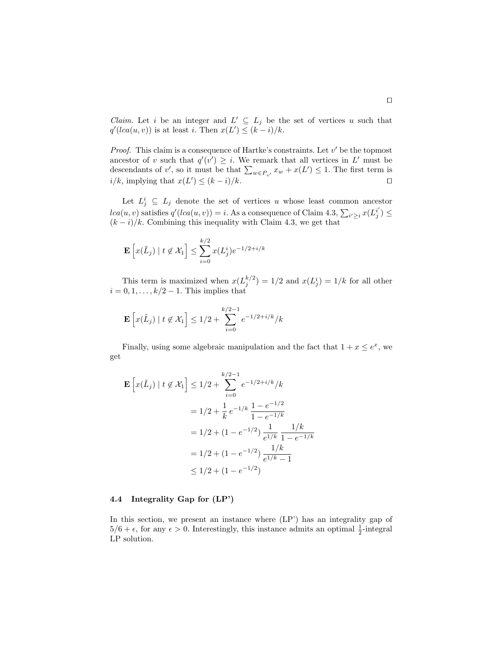*Claim.* Let i be an integer and  $L' \subseteq L_j$  be the set of vertices u such that  $q'(lca(u, v))$  is at least i. Then  $x(L') \leq (k - i)/k$ .

*Proof.* This claim is a consequence of Hartke's constraints. Let  $v'$  be the topmost ancestor of v such that  $q'(v') \geq i$ . We remark that all vertices in L' must be descendants of v', so it must be that  $\sum_{w \in P_{v'}} x_w + x(L') \leq 1$ . The first term is  $i/k$ , implying that  $x(L') \le (k - i)/k$ .

Let  $L_j^i \subseteq L_j$  denote the set of vertices u whose least common ancestor  $lca(u, v)$  satisfies  $q'(lca(u, v)) = i$ . As a consequence of Claim 4.3,  $\sum_{i' \geq i} x(L_j^{i'}) \leq$  $(k - i)/k$ . Combining this inequality with Claim 4.3, we get that

$$
\mathbf{E}\left[x(\tilde{L}_j) \mid t \notin \mathcal{X}_1\right] \leq \sum_{i=0}^{k/2} x(L_j^i) e^{-1/2 + i/k}
$$

This term is maximized when  $x(L_j^{k/2}) = 1/2$  and  $x(L_j^i) = 1/k$  for all other  $i = 0, 1, \ldots, k/2 - 1$ . This implies that

$$
\mathbf{E}\left[x(\tilde{L}_j) \mid t \notin \mathcal{X}_1\right] \le 1/2 + \sum_{i=0}^{k/2-1} e^{-1/2 + i/k} / k
$$

Finally, using some algebraic manipulation and the fact that  $1 + x \leq e^x$ , we get

$$
\begin{aligned} \mathbf{E} \left[ x(\tilde{L}_j) \mid t \notin \mathcal{X}_1 \right] &\le 1/2 + \sum_{i=0}^{k/2-1} e^{-1/2 + i/k} / k \\ &= 1/2 + \frac{1}{k} e^{-1/k} \frac{1 - e^{-1/2}}{1 - e^{-1/k}} \\ &= 1/2 + (1 - e^{-1/2}) \frac{1}{e^{1/k}} \frac{1/k}{1 - e^{-1/k}} \\ &= 1/2 + (1 - e^{-1/2}) \frac{1/k}{e^{1/k} - 1} \\ &\le 1/2 + (1 - e^{-1/2}) \end{aligned}
$$

## 4.4 Integrality Gap for (LP')

In this section, we present an instance where (LP') has an integrality gap of  $5/6 + \epsilon$ , for any  $\epsilon > 0$ . Interestingly, this instance admits an optimal  $\frac{1}{2}$ -integral LP solution.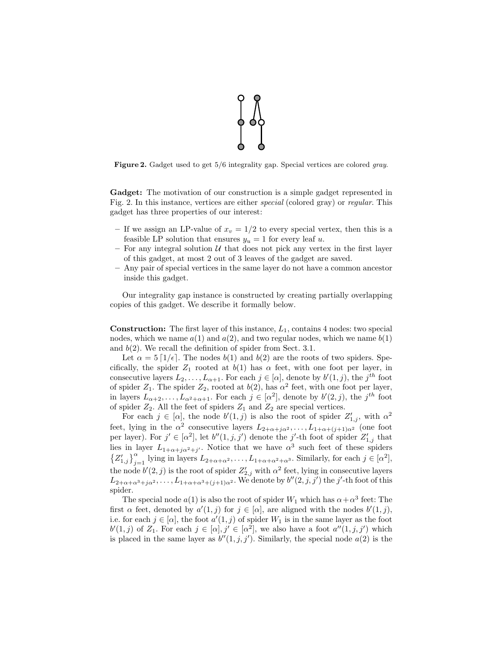

Figure 2. Gadget used to get 5/6 integrality gap. Special vertices are colored gray.

Gadget: The motivation of our construction is a simple gadget represented in Fig. 2. In this instance, vertices are either special (colored gray) or regular. This gadget has three properties of our interest:

- If we assign an LP-value of  $x_v = 1/2$  to every special vertex, then this is a feasible LP solution that ensures  $y_u = 1$  for every leaf u.
- For any integral solution  $U$  that does not pick any vertex in the first layer of this gadget, at most 2 out of 3 leaves of the gadget are saved.
- Any pair of special vertices in the same layer do not have a common ancestor inside this gadget.

Our integrality gap instance is constructed by creating partially overlapping copies of this gadget. We describe it formally below.

**Construction:** The first layer of this instance,  $L_1$ , contains 4 nodes: two special nodes, which we name  $a(1)$  and  $a(2)$ , and two regular nodes, which we name  $b(1)$ and b(2). We recall the definition of spider from Sect. 3.1.

Let  $\alpha = 5 \lfloor 1/\epsilon \rfloor$ . The nodes  $b(1)$  and  $b(2)$  are the roots of two spiders. Specifically, the spider  $Z_1$  rooted at  $b(1)$  has  $\alpha$  feet, with one foot per layer, in consecutive layers  $L_2, \ldots, L_{\alpha+1}$ . For each  $j \in [\alpha]$ , denote by  $b'(1, j)$ , the  $j<sup>th</sup>$  foot of spider  $Z_1$ . The spider  $Z_2$ , rooted at  $b(2)$ , has  $\alpha^2$  feet, with one foot per layer, in layers  $L_{\alpha+2}, \ldots, L_{\alpha^2+\alpha+1}$ . For each  $j \in [\alpha^2]$ , denote by  $b'(2, j)$ , the  $j^{th}$  foot of spider  $Z_2$ . All the feet of spiders  $Z_1$  and  $Z_2$  are special vertices.

For each  $j \in [\alpha]$ , the node  $b'(1, j)$  is also the root of spider  $Z'_{1,j}$ , with  $\alpha^2$ feet, lying in the  $\alpha^2$  consecutive layers  $L_{2+\alpha+j\alpha^2}, \ldots, L_{1+\alpha+(j+1)\alpha^2}$  (one foot per layer). For  $j' \in [\alpha^2]$ , let  $b''(1, j, j')$  denote the j'-th foot of spider  $Z'_{1,j}$  that lies in layer  $L_{1+\alpha+j\alpha^2+j}$ . Notice that we have  $\alpha^3$  such feet of these spiders  $\left\{Z'_{1,j}\right\}_{j=1}^{\alpha}$  lying in layers  $L_{2+\alpha+\alpha^2},\ldots,L_{1+\alpha+\alpha^2+\alpha^3}$ . Similarly, for each  $j\in[\alpha^2]$ , the node  $b'(2, j)$  is the root of spider  $Z'_{2,j}$  with  $\alpha^2$  feet, lying in consecutive layers  $L_{2+\alpha+\alpha^3+j\alpha^2},\ldots,L_{1+\alpha+\alpha^3+(j+1)\alpha^2}$ . We denote by  $b''(2,j,j')$  the j'-th foot of this spider.

The special node  $a(1)$  is also the root of spider  $W_1$  which has  $\alpha + \alpha^3$  feet: The first  $\alpha$  feet, denoted by  $a'(1, j)$  for  $j \in [\alpha]$ , are aligned with the nodes  $b'(1, j)$ , i.e. for each  $j \in [\alpha]$ , the foot  $a'(1, j)$  of spider  $W_1$  is in the same layer as the foot  $b'(1, j)$  of  $Z_1$ . For each  $j \in [\alpha], j' \in [\alpha^2]$ , we also have a foot  $a''(1, j, j')$  which is placed in the same layer as  $b''(1, j, j')$ . Similarly, the special node  $a(2)$  is the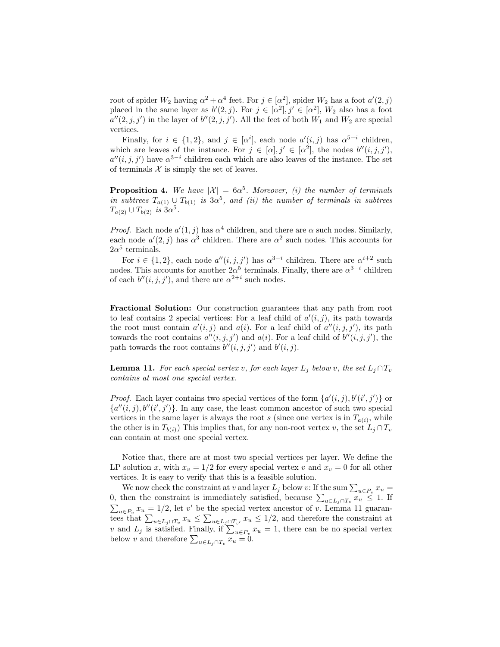root of spider  $W_2$  having  $\alpha^2 + \alpha^4$  feet. For  $j \in [\alpha^2]$ , spider  $W_2$  has a foot  $a'(2, j)$ placed in the same layer as  $b'(2, j)$ . For  $j \in [\alpha^2], j' \in [\alpha^2], W_2$  also has a foot  $a''(2,j,j')$  in the layer of  $b''(2,j,j')$ . All the feet of both  $W_1$  and  $W_2$  are special vertices.

Finally, for  $i \in \{1,2\}$ , and  $j \in [\alpha^i]$ , each node  $a'(i,j)$  has  $\alpha^{5-i}$  children, which are leaves of the instance. For  $j \in [\alpha], j' \in [\alpha^2]$ , the nodes  $b''(i, j, j')$ ,  $a''(i,j,j')$  have  $\alpha^{3-i}$  children each which are also leaves of the instance. The set of terminals  $X$  is simply the set of leaves.

**Proposition 4.** We have  $|\mathcal{X}| = 6\alpha^5$ . Moreover, (i) the number of terminals in subtrees  $T_{a(1)} \cup T_{b(1)}$  is  $3\alpha^5$ , and (ii) the number of terminals in subtrees  $T_{a(2)} \cup T_{b(2)}$  is  $3\alpha^5$ .

*Proof.* Each node  $a'(1, j)$  has  $\alpha^4$  children, and there are  $\alpha$  such nodes. Similarly, each node  $a'(2, j)$  has  $\alpha^3$  children. There are  $\alpha^2$  such nodes. This accounts for  $2\alpha^5$  terminals.

For  $i \in \{1,2\}$ , each node  $a''(i,j,j')$  has  $\alpha^{3-i}$  children. There are  $\alpha^{i+2}$  such nodes. This accounts for another  $2\alpha^5$  terminals. Finally, there are  $\alpha^{3-i}$  children of each  $b''(i, j, j')$ , and there are  $\alpha^{2+i}$  such nodes.

Fractional Solution: Our construction guarantees that any path from root to leaf contains 2 special vertices: For a leaf child of  $a'(i, j)$ , its path towards the root must contain  $a'(i, j)$  and  $a(i)$ . For a leaf child of  $a''(i, j, j')$ , its path towards the root contains  $a''(i,j,j')$  and  $a(i)$ . For a leaf child of  $b''(i,j,j')$ , the path towards the root contains  $b''(i, j, j')$  and  $b'(i, j)$ .

**Lemma 11.** For each special vertex v, for each layer  $L_i$  below v, the set  $L_i \cap T_v$ contains at most one special vertex.

*Proof.* Each layer contains two special vertices of the form  $\{a'(i,j), b'(i',j')\}$  or  ${a''(i,j), b''(i',j')}$ . In any case, the least common ancestor of such two special vertices in the same layer is always the root s (since one vertex is in  $T_{a(i)}$ , while the other is in  $T_{b(i)}$ ) This implies that, for any non-root vertex v, the set  $L_j \cap T_v$ can contain at most one special vertex.

Notice that, there are at most two special vertices per layer. We define the LP solution x, with  $x_v = 1/2$  for every special vertex v and  $x_v = 0$  for all other vertices. It is easy to verify that this is a feasible solution.

We now check the constraint at v and layer  $L_j$  below v: If the sum  $\sum_{u \in P_v} x_u =$ 0, then the constraint is immediately satisfied, because  $\sum_{u \in L_j \cap T_v} x_u \leq 1$ . If  $\sum_{u \in P_v} x_u = 1/2$ , let v' be the special vertex ancestor of v. Lemma 11 guarantees that  $\sum_{u \in L_j \cap T_v} x_u \leq \sum_{u \in L_j \cap T_{v'}} x_u \leq 1/2$ , and therefore the constraint at v and  $L_j$  is satisfied. Finally, if  $\sum_{u \in P_v} x_u = 1$ , there can be no special vertex below v and therefore  $\sum_{u \in L_j \cap T_v} x_u = 0$ .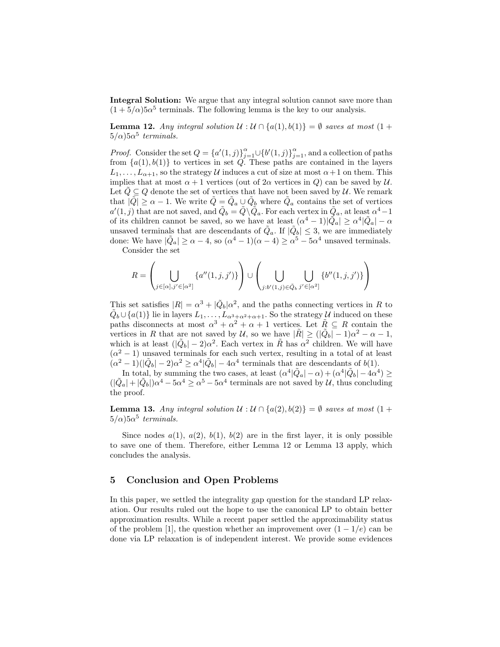Integral Solution: We argue that any integral solution cannot save more than  $(1+5/\alpha)5\alpha^5$  terminals. The following lemma is the key to our analysis.

**Lemma 12.** Any integral solution  $\mathcal{U}: \mathcal{U} \cap \{a(1), b(1)\} = \emptyset$  saves at most  $(1 +$  $5/\alpha)5\alpha^5$  terminals.

*Proof.* Consider the set  $Q = \{a'(1,j)\}_{j=1}^{\alpha} \cup \{b'(1,j)\}_{j=1}^{\alpha}$ , and a collection of paths from  $\{a(1), b(1)\}\$ to vertices in set Q. These paths are contained in the layers  $L_1, \ldots, L_{\alpha+1}$ , so the strategy U induces a cut of size at most  $\alpha+1$  on them. This implies that at most  $\alpha + 1$  vertices (out of  $2\alpha$  vertices in Q) can be saved by U. Let  $\tilde{Q} \subseteq Q$  denote the set of vertices that have not been saved by U. We remark that  $|\tilde{Q}| \ge \alpha - 1$ . We write  $\tilde{Q} = \tilde{Q}_a \cup \tilde{Q}_b$  where  $\tilde{Q}_a$  contains the set of vertices  $a'(1, j)$  that are not saved, and  $\tilde{Q}_b = \tilde{Q} \backslash \tilde{Q}_a$ . For each vertex in  $\tilde{Q}_a$ , at least  $\alpha^4 - 1$ of its children cannot be saved, so we have at least  $(\alpha^4 - 1)|\tilde{Q}_a| \ge \alpha^4 |\tilde{Q}_a| - \alpha$ unsaved terminals that are descendants of  $\tilde{Q}_a$ . If  $|\tilde{Q}_b| \leq 3$ , we are immediately done: We have  $|\tilde{Q}_a| \ge \alpha - 4$ , so  $(\alpha^4 - 1)(\alpha - 4) \ge \alpha^5 - 5\alpha^4$  unsaved terminals.

Consider the set

$$
R = \left(\bigcup_{j \in [\alpha], j' \in [\alpha^2]} \{a''(1, j, j')\}\right) \cup \left(\bigcup_{j: b'(1, j) \in \tilde{Q}_b} \bigcup_{j' \in [\alpha^2]} \{b''(1, j, j')\}\right)
$$

This set satisfies  $|R| = \alpha^3 + |\tilde{Q}_b| \alpha^2$ , and the paths connecting vertices in R to  $\tilde{Q}_b \cup \{a(1)\}\$ lie in layers  $L_1, \ldots, L_{\alpha^3+\alpha^2+\alpha+1}$ . So the strategy  $\mathcal U$  induced on these paths disconnects at most  $\alpha^3 + \alpha^2 + \alpha + 1$  vertices. Let  $\tilde{R} \subseteq R$  contain the vertices in R that are not saved by U, so we have  $|\tilde{R}| \geq (|\tilde{Q}_b| - 1)\alpha^2 - \alpha - 1$ , which is at least  $(|\tilde{Q}_b| - 2)\alpha^2$ . Each vertex in  $\tilde{R}$  has  $\alpha^2$  children. We will have  $(\alpha^2 - 1)$  unsaved terminals for each such vertex, resulting in a total of at least  $(\alpha^2 - 1)(|\tilde{Q}_b| - 2)\alpha^2 \ge \alpha^4 |\tilde{Q}_b| - 4\alpha^4$  terminals that are descendants of  $b(1)$ .

In total, by summing the two cases, at least  $(\alpha^4|\tilde{Q}_a|-\alpha)+(\alpha^4|\tilde{Q}_b| - 4\alpha^4) \ge$  $(|\tilde{Q}_a|+|\tilde{Q}_b|)\alpha^4 - 5\alpha^4 \ge \alpha^5 - 5\alpha^4$  terminals are not saved by U, thus concluding the proof.

**Lemma 13.** Any integral solution  $U : U \cap \{a(2), b(2)\} = \emptyset$  saves at most  $(1 +$  $5/\alpha)5\alpha^5$  terminals.

Since nodes  $a(1)$ ,  $a(2)$ ,  $b(1)$ ,  $b(2)$  are in the first layer, it is only possible to save one of them. Therefore, either Lemma 12 or Lemma 13 apply, which concludes the analysis.

# 5 Conclusion and Open Problems

In this paper, we settled the integrality gap question for the standard LP relaxation. Our results ruled out the hope to use the canonical LP to obtain better approximation results. While a recent paper settled the approximability status of the problem [1], the question whether an improvement over  $(1 - 1/e)$  can be done via LP relaxation is of independent interest. We provide some evidences